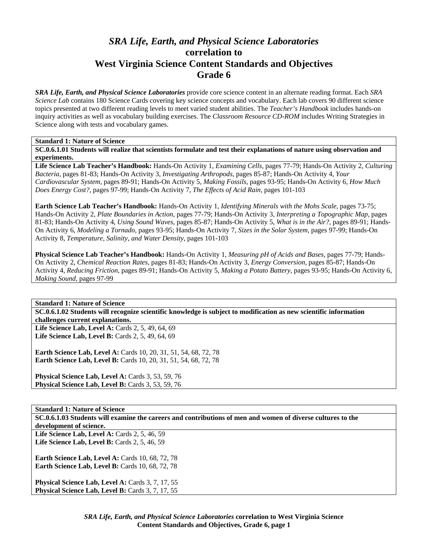# *SRA Life, Earth, and Physical Science Laboratories*  **correlation to West Virginia Science Content Standards and Objectives Grade 6**

*SRA Life, Earth, and Physical Science Laboratories* provide core science content in an alternate reading format. Each *SRA Science Lab* contains 180 Science Cards covering key science concepts and vocabulary. Each lab covers 90 different science topics presented at two different reading levels to meet varied student abilities. The *Teacher's Handbook* includes hands-on inquiry activities as well as vocabulary building exercises. The *Classroom Resource CD-ROM* includes Writing Strategies in Science along with tests and vocabulary games.

## **Standard 1: Nature of Science**

**SC.0.6.1.01 Students will realize that scientists formulate and test their explanations of nature using observation and experiments.** 

**Life Science Lab Teacher's Handbook:** Hands-On Activity 1, *Examining Cells,* pages 77-79; Hands-On Activity 2, *Culturing Bacteria,* pages 81-83; Hands-On Activity 3, *Investigating Arthropods,* pages 85-87; Hands-On Activity 4, *Your Cardiovascular System,* pages 89-91; Hands-On Activity 5, *Making Fossils,* pages 93-95; Hands-On Activity 6, *How Much Does Energy Cost?,* pages 97-99; Hands-On Activity 7, *The Effects of Acid Rain,* pages 101-103

**Earth Science Lab Teacher's Handbook:** Hands-On Activity 1, *Identifying Minerals with the Mohs Scale,* pages 73-75; Hands-On Activity 2, *Plate Boundaries in Action,* pages 77-79; Hands-On Activity 3, *Interpreting a Topographic Map,* pages 81-83; Hands-On Activity 4, *Using Sound Waves,* pages 85-87; Hands-On Activity 5, *What is in the Air?,* pages 89-91; Hands-On Activity 6, *Modeling a Tornado,* pages 93-95; Hands-On Activity 7, *Sizes in the Solar System,* pages 97-99; Hands-On Activity 8, *Temperature, Salinity, and Water Density,* pages 101-103

**Physical Science Lab Teacher's Handbook:** Hands-On Activity 1, *Measuring pH of Acids and Bases,* pages 77-79; Hands-On Activity 2, *Chemical Reaction Rates,* pages 81-83; Hands-On Activity 3, *Energy Conversion,* pages 85-87; Hands-On Activity 4, *Reducing Friction,* pages 89-91; Hands-On Activity 5, *Making a Potato Battery,* pages 93-95; Hands-On Activity 6, *Making Sound,* pages 97-99

**Standard 1: Nature of Science** 

**SC.0.6.1.02 Students will recognize scientific knowledge is subject to modification as new scientific information challenges current explanations.** 

Life Science Lab, Level A: Cards 2, 5, 49, 64, 69 **Life Science Lab, Level B:** Cards 2, 5, 49, 64, 69

**Earth Science Lab, Level A:** Cards 10, 20, 31, 51, 54, 68, 72, 78 **Earth Science Lab, Level B:** Cards 10, 20, 31, 51, 54, 68, 72, 78

**Physical Science Lab, Level A: Cards 3, 53, 59, 76** Physical Science Lab, Level B: Cards 3, 53, 59, 76

**Standard 1: Nature of Science** 

**SC.0.6.1.03 Students will examine the careers and contributions of men and women of diverse cultures to the development of science.** 

Life Science Lab, Level A: Cards 2, 5, 46, 59 **Life Science Lab, Level B:** Cards 2, 5, 46, 59

**Earth Science Lab, Level A: Cards 10, 68, 72, 78 Earth Science Lab, Level B: Cards 10, 68, 72, 78** 

Physical Science Lab, Level A: Cards 3, 7, 17, 55 Physical Science Lab, Level B: Cards 3, 7, 17, 55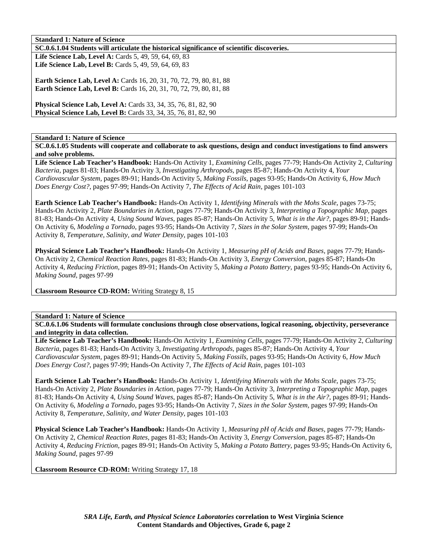**SC.0.6.1.04 Students will articulate the historical significance of scientific discoveries.** 

Life Science Lab, Level A: Cards 5, 49, 59, 64, 69, 83 **Life Science Lab, Level B:** Cards 5, 49, 59, 64, 69, 83

**Earth Science Lab, Level A: Cards 16, 20, 31, 70, 72, 79, 80, 81, 88 Earth Science Lab, Level B:** Cards 16, 20, 31, 70, 72, 79, 80, 81, 88

**Physical Science Lab, Level A:** Cards 33, 34, 35, 76, 81, 82, 90 **Physical Science Lab, Level B:** Cards 33, 34, 35, 76, 81, 82, 90

**Standard 1: Nature of Science** 

**SC.0.6.1.05 Students will cooperate and collaborate to ask questions, design and conduct investigations to find answers and solve problems.** 

**Life Science Lab Teacher's Handbook:** Hands-On Activity 1, *Examining Cells,* pages 77-79; Hands-On Activity 2, *Culturing Bacteria,* pages 81-83; Hands-On Activity 3, *Investigating Arthropods,* pages 85-87; Hands-On Activity 4, *Your Cardiovascular System,* pages 89-91; Hands-On Activity 5, *Making Fossils,* pages 93-95; Hands-On Activity 6, *How Much Does Energy Cost?,* pages 97-99; Hands-On Activity 7, *The Effects of Acid Rain,* pages 101-103

**Earth Science Lab Teacher's Handbook:** Hands-On Activity 1, *Identifying Minerals with the Mohs Scale,* pages 73-75; Hands-On Activity 2, *Plate Boundaries in Action,* pages 77-79; Hands-On Activity 3, *Interpreting a Topographic Map,* pages 81-83; Hands-On Activity 4, *Using Sound Waves,* pages 85-87; Hands-On Activity 5, *What is in the Air?,* pages 89-91; Hands-On Activity 6, *Modeling a Tornado,* pages 93-95; Hands-On Activity 7, *Sizes in the Solar System,* pages 97-99; Hands-On Activity 8, *Temperature, Salinity, and Water Density,* pages 101-103

**Physical Science Lab Teacher's Handbook:** Hands-On Activity 1, *Measuring pH of Acids and Bases,* pages 77-79; Hands-On Activity 2, *Chemical Reaction Rates,* pages 81-83; Hands-On Activity 3, *Energy Conversion,* pages 85-87; Hands-On Activity 4, *Reducing Friction,* pages 89-91; Hands-On Activity 5, *Making a Potato Battery,* pages 93-95; Hands-On Activity 6, *Making Sound,* pages 97-99

**Classroom Resource CD-ROM:** Writing Strategy 8, 15

## **Standard 1: Nature of Science**

**SC.0.6.1.06 Students will formulate conclusions through close observations, logical reasoning, objectivity, perseverance and integrity in data collection.** 

**Life Science Lab Teacher's Handbook:** Hands-On Activity 1, *Examining Cells,* pages 77-79; Hands-On Activity 2, *Culturing Bacteria,* pages 81-83; Hands-On Activity 3, *Investigating Arthropods,* pages 85-87; Hands-On Activity 4, *Your Cardiovascular System,* pages 89-91; Hands-On Activity 5, *Making Fossils,* pages 93-95; Hands-On Activity 6, *How Much Does Energy Cost?,* pages 97-99; Hands-On Activity 7, *The Effects of Acid Rain,* pages 101-103

**Earth Science Lab Teacher's Handbook:** Hands-On Activity 1, *Identifying Minerals with the Mohs Scale,* pages 73-75; Hands-On Activity 2, *Plate Boundaries in Action,* pages 77-79; Hands-On Activity 3, *Interpreting a Topographic Map,* pages 81-83; Hands-On Activity 4, *Using Sound Waves,* pages 85-87; Hands-On Activity 5, *What is in the Air?,* pages 89-91; Hands-On Activity 6, *Modeling a Tornado,* pages 93-95; Hands-On Activity 7, *Sizes in the Solar System,* pages 97-99; Hands-On Activity 8, *Temperature, Salinity, and Water Density,* pages 101-103

**Physical Science Lab Teacher's Handbook:** Hands-On Activity 1, *Measuring pH of Acids and Bases,* pages 77-79; Hands-On Activity 2, *Chemical Reaction Rates,* pages 81-83; Hands-On Activity 3, *Energy Conversion,* pages 85-87; Hands-On Activity 4, *Reducing Friction,* pages 89-91; Hands-On Activity 5, *Making a Potato Battery,* pages 93-95; Hands-On Activity 6, *Making Sound,* pages 97-99

**Classroom Resource CD-ROM:** Writing Strategy 17, 18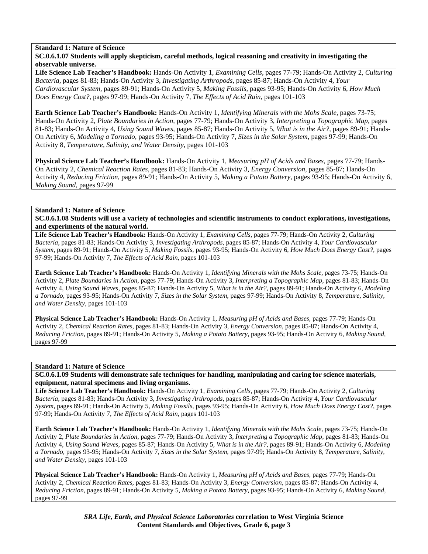**SC.0.6.1.07 Students will apply skepticism, careful methods, logical reasoning and creativity in investigating the observable universe.** 

**Life Science Lab Teacher's Handbook:** Hands-On Activity 1, *Examining Cells,* pages 77-79; Hands-On Activity 2, *Culturing Bacteria,* pages 81-83; Hands-On Activity 3, *Investigating Arthropods,* pages 85-87; Hands-On Activity 4, *Your Cardiovascular System,* pages 89-91; Hands-On Activity 5, *Making Fossils,* pages 93-95; Hands-On Activity 6, *How Much Does Energy Cost?,* pages 97-99; Hands-On Activity 7, *The Effects of Acid Rain,* pages 101-103

**Earth Science Lab Teacher's Handbook:** Hands-On Activity 1, *Identifying Minerals with the Mohs Scale,* pages 73-75; Hands-On Activity 2, *Plate Boundaries in Action,* pages 77-79; Hands-On Activity 3, *Interpreting a Topographic Map,* pages 81-83; Hands-On Activity 4, *Using Sound Waves,* pages 85-87; Hands-On Activity 5, *What is in the Air?,* pages 89-91; Hands-On Activity 6, *Modeling a Tornado,* pages 93-95; Hands-On Activity 7, *Sizes in the Solar System,* pages 97-99; Hands-On Activity 8, *Temperature, Salinity, and Water Density,* pages 101-103

**Physical Science Lab Teacher's Handbook:** Hands-On Activity 1, *Measuring pH of Acids and Bases,* pages 77-79; Hands-On Activity 2, *Chemical Reaction Rates,* pages 81-83; Hands-On Activity 3, *Energy Conversion,* pages 85-87; Hands-On Activity 4, *Reducing Friction,* pages 89-91; Hands-On Activity 5, *Making a Potato Battery,* pages 93-95; Hands-On Activity 6, *Making Sound,* pages 97-99

#### **Standard 1: Nature of Science**

**SC.0.6.1.08 Students will use a variety of technologies and scientific instruments to conduct explorations, investigations, and experiments of the natural world.** 

**Life Science Lab Teacher's Handbook:** Hands-On Activity 1, *Examining Cells,* pages 77-79; Hands-On Activity 2, *Culturing Bacteria,* pages 81-83; Hands-On Activity 3, *Investigating Arthropods,* pages 85-87; Hands-On Activity 4, *Your Cardiovascular System,* pages 89-91; Hands-On Activity 5, *Making Fossils,* pages 93-95; Hands-On Activity 6, *How Much Does Energy Cost?,* pages 97-99; Hands-On Activity 7, *The Effects of Acid Rain,* pages 101-103

**Earth Science Lab Teacher's Handbook:** Hands-On Activity 1, *Identifying Minerals with the Mohs Scale,* pages 73-75; Hands-On Activity 2, *Plate Boundaries in Action,* pages 77-79; Hands-On Activity 3, *Interpreting a Topographic Map,* pages 81-83; Hands-On Activity 4, *Using Sound Waves,* pages 85-87; Hands-On Activity 5, *What is in the Air?,* pages 89-91; Hands-On Activity 6, *Modeling a Tornado,* pages 93-95; Hands-On Activity 7, *Sizes in the Solar System,* pages 97-99; Hands-On Activity 8, *Temperature, Salinity, and Water Density,* pages 101-103

**Physical Science Lab Teacher's Handbook:** Hands-On Activity 1, *Measuring pH of Acids and Bases,* pages 77-79; Hands-On Activity 2, *Chemical Reaction Rates,* pages 81-83; Hands-On Activity 3, *Energy Conversion,* pages 85-87; Hands-On Activity 4, *Reducing Friction,* pages 89-91; Hands-On Activity 5, *Making a Potato Battery,* pages 93-95; Hands-On Activity 6, *Making Sound,* pages 97-99

#### **Standard 1: Nature of Science**

**SC.0.6.1.09 Students will demonstrate safe techniques for handling, manipulating and caring for science materials, equipment, natural specimens and living organisms.** 

**Life Science Lab Teacher's Handbook:** Hands-On Activity 1, *Examining Cells,* pages 77-79; Hands-On Activity 2, *Culturing Bacteria,* pages 81-83; Hands-On Activity 3, *Investigating Arthropods,* pages 85-87; Hands-On Activity 4, *Your Cardiovascular System,* pages 89-91; Hands-On Activity 5, *Making Fossils,* pages 93-95; Hands-On Activity 6, *How Much Does Energy Cost?,* pages 97-99; Hands-On Activity 7, *The Effects of Acid Rain,* pages 101-103

**Earth Science Lab Teacher's Handbook:** Hands-On Activity 1, *Identifying Minerals with the Mohs Scale,* pages 73-75; Hands-On Activity 2, *Plate Boundaries in Action,* pages 77-79; Hands-On Activity 3, *Interpreting a Topographic Map,* pages 81-83; Hands-On Activity 4, *Using Sound Waves,* pages 85-87; Hands-On Activity 5, *What is in the Air?,* pages 89-91; Hands-On Activity 6, *Modeling a Tornado,* pages 93-95; Hands-On Activity 7, *Sizes in the Solar System,* pages 97-99; Hands-On Activity 8, *Temperature, Salinity, and Water Density,* pages 101-103

**Physical Science Lab Teacher's Handbook:** Hands-On Activity 1, *Measuring pH of Acids and Bases,* pages 77-79; Hands-On Activity 2, *Chemical Reaction Rates,* pages 81-83; Hands-On Activity 3, *Energy Conversion,* pages 85-87; Hands-On Activity 4, *Reducing Friction,* pages 89-91; Hands-On Activity 5, *Making a Potato Battery,* pages 93-95; Hands-On Activity 6, *Making Sound,* pages 97-99

> *SRA Life, Earth, and Physical Science Laboratories* **correlation to West Virginia Science Content Standards and Objectives, Grade 6, page 3**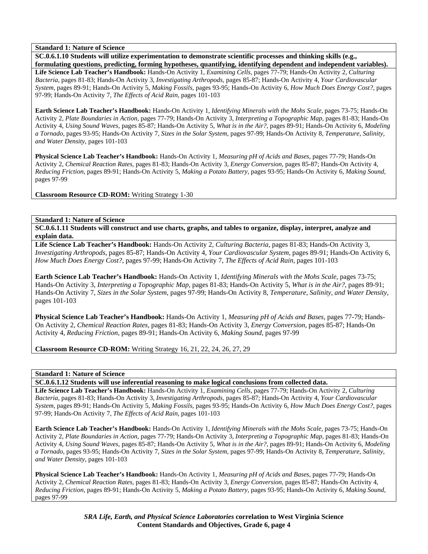**SC.0.6.1.10 Students will utilize experimentation to demonstrate scientific processes and thinking skills (e.g., formulating questions, predicting, forming hypotheses, quantifying, identifying dependent and independent variables). Life Science Lab Teacher's Handbook:** Hands-On Activity 1, *Examining Cells,* pages 77-79; Hands-On Activity 2, *Culturing Bacteria,* pages 81-83; Hands-On Activity 3, *Investigating Arthropods,* pages 85-87; Hands-On Activity 4, *Your Cardiovascular System,* pages 89-91; Hands-On Activity 5, *Making Fossils,* pages 93-95; Hands-On Activity 6, *How Much Does Energy Cost?,* pages 97-99; Hands-On Activity 7, *The Effects of Acid Rain,* pages 101-103

**Earth Science Lab Teacher's Handbook:** Hands-On Activity 1, *Identifying Minerals with the Mohs Scale,* pages 73-75; Hands-On Activity 2, *Plate Boundaries in Action,* pages 77-79; Hands-On Activity 3, *Interpreting a Topographic Map,* pages 81-83; Hands-On Activity 4, *Using Sound Waves,* pages 85-87; Hands-On Activity 5, *What is in the Air?,* pages 89-91; Hands-On Activity 6, *Modeling a Tornado,* pages 93-95; Hands-On Activity 7, *Sizes in the Solar System,* pages 97-99; Hands-On Activity 8, *Temperature, Salinity, and Water Density,* pages 101-103

**Physical Science Lab Teacher's Handbook:** Hands-On Activity 1, *Measuring pH of Acids and Bases,* pages 77-79; Hands-On Activity 2, *Chemical Reaction Rates,* pages 81-83; Hands-On Activity 3, *Energy Conversion,* pages 85-87; Hands-On Activity 4, *Reducing Friction,* pages 89-91; Hands-On Activity 5, *Making a Potato Battery,* pages 93-95; Hands-On Activity 6, *Making Sound,* pages 97-99

**Classroom Resource CD-ROM:** Writing Strategy 1-30

**Standard 1: Nature of Science** 

**SC.0.6.1.11 Students will construct and use charts, graphs, and tables to organize, display, interpret, analyze and explain data.** 

**Life Science Lab Teacher's Handbook:** Hands-On Activity 2, *Culturing Bacteria,* pages 81-83; Hands-On Activity 3, *Investigating Arthropods,* pages 85-87; Hands-On Activity 4, *Your Cardiovascular System,* pages 89-91; Hands-On Activity 6, *How Much Does Energy Cost?,* pages 97-99; Hands-On Activity 7, *The Effects of Acid Rain,* pages 101-103

**Earth Science Lab Teacher's Handbook:** Hands-On Activity 1, *Identifying Minerals with the Mohs Scale,* pages 73-75; Hands-On Activity 3, *Interpreting a Topographic Map,* pages 81-83; Hands-On Activity 5, *What is in the Air?,* pages 89-91; Hands-On Activity 7, *Sizes in the Solar System,* pages 97-99; Hands-On Activity 8, *Temperature, Salinity, and Water Density,* pages 101-103

**Physical Science Lab Teacher's Handbook:** Hands-On Activity 1, *Measuring pH of Acids and Bases,* pages 77-79; Hands-On Activity 2, *Chemical Reaction Rates,* pages 81-83; Hands-On Activity 3, *Energy Conversion,* pages 85-87; Hands-On Activity 4, *Reducing Friction,* pages 89-91; Hands-On Activity 6, *Making Sound,* pages 97-99

**Classroom Resource CD-ROM:** Writing Strategy 16, 21, 22, 24, 26, 27, 29

## **Standard 1: Nature of Science**

**SC.0.6.1.12 Students will use inferential reasoning to make logical conclusions from collected data.** 

**Life Science Lab Teacher's Handbook:** Hands-On Activity 1, *Examining Cells,* pages 77-79; Hands-On Activity 2, *Culturing Bacteria,* pages 81-83; Hands-On Activity 3, *Investigating Arthropods,* pages 85-87; Hands-On Activity 4, *Your Cardiovascular System,* pages 89-91; Hands-On Activity 5, *Making Fossils,* pages 93-95; Hands-On Activity 6, *How Much Does Energy Cost?,* pages 97-99; Hands-On Activity 7, *The Effects of Acid Rain,* pages 101-103

**Earth Science Lab Teacher's Handbook:** Hands-On Activity 1, *Identifying Minerals with the Mohs Scale,* pages 73-75; Hands-On Activity 2, *Plate Boundaries in Action,* pages 77-79; Hands-On Activity 3, *Interpreting a Topographic Map,* pages 81-83; Hands-On Activity 4, *Using Sound Waves,* pages 85-87; Hands-On Activity 5, *What is in the Air?,* pages 89-91; Hands-On Activity 6, *Modeling a Tornado,* pages 93-95; Hands-On Activity 7, *Sizes in the Solar System,* pages 97-99; Hands-On Activity 8, *Temperature, Salinity, and Water Density,* pages 101-103

**Physical Science Lab Teacher's Handbook:** Hands-On Activity 1, *Measuring pH of Acids and Bases,* pages 77-79; Hands-On Activity 2, *Chemical Reaction Rates,* pages 81-83; Hands-On Activity 3, *Energy Conversion,* pages 85-87; Hands-On Activity 4, *Reducing Friction,* pages 89-91; Hands-On Activity 5, *Making a Potato Battery,* pages 93-95; Hands-On Activity 6, *Making Sound,* pages 97-99

> *SRA Life, Earth, and Physical Science Laboratories* **correlation to West Virginia Science Content Standards and Objectives, Grade 6, page 4**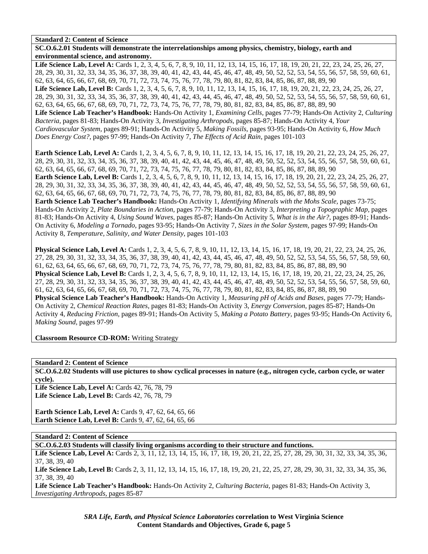**SC.O.6.2.01 Students will demonstrate the interrelationships among physics, chemistry, biology, earth and environmental science, and astronomy.** 

Life Science Lab, Level A: Cards 1, 2, 3, 4, 5, 6, 7, 8, 9, 10, 11, 12, 13, 14, 15, 16, 17, 18, 19, 20, 21, 22, 23, 24, 25, 26, 27, 28, 29, 30, 31, 32, 33, 34, 35, 36, 37, 38, 39, 40, 41, 42, 43, 44, 45, 46, 47, 48, 49, 50, 52, 52, 53, 54, 55, 56, 57, 58, 59, 60, 61, 62, 63, 64, 65, 66, 67, 68, 69, 70, 71, 72, 73, 74, 75, 76, 77, 78, 79, 80, 81, 82, 83, 84, 85, 86, 87, 88, 89, 90 Life Science Lab, Level B: Cards 1, 2, 3, 4, 5, 6, 7, 8, 9, 10, 11, 12, 13, 14, 15, 16, 17, 18, 19, 20, 21, 22, 23, 24, 25, 26, 27, 28, 29, 30, 31, 32, 33, 34, 35, 36, 37, 38, 39, 40, 41, 42, 43, 44, 45, 46, 47, 48, 49, 50, 52, 52, 53, 54, 55, 56, 57, 58, 59, 60, 61, 62, 63, 64, 65, 66, 67, 68, 69, 70, 71, 72, 73, 74, 75, 76, 77, 78, 79, 80, 81, 82, 83, 84, 85, 86, 87, 88, 89, 90 **Life Science Lab Teacher's Handbook:** Hands-On Activity 1, *Examining Cells,* pages 77-79; Hands-On Activity 2, *Culturing Bacteria,* pages 81-83; Hands-On Activity 3, *Investigating Arthropods,* pages 85-87; Hands-On Activity 4, *Your Cardiovascular System,* pages 89-91; Hands-On Activity 5, *Making Fossils,* pages 93-95; Hands-On Activity 6, *How Much Does Energy Cost?,* pages 97-99; Hands-On Activity 7, *The Effects of Acid Rain,* pages 101-103

**Earth Science Lab, Level A:** Cards 1, 2, 3, 4, 5, 6, 7, 8, 9, 10, 11, 12, 13, 14, 15, 16, 17, 18, 19, 20, 21, 22, 23, 24, 25, 26, 27, 28, 29, 30, 31, 32, 33, 34, 35, 36, 37, 38, 39, 40, 41, 42, 43, 44, 45, 46, 47, 48, 49, 50, 52, 52, 53, 54, 55, 56, 57, 58, 59, 60, 61, 62, 63, 64, 65, 66, 67, 68, 69, 70, 71, 72, 73, 74, 75, 76, 77, 78, 79, 80, 81, 82, 83, 84, 85, 86, 87, 88, 89, 90 **Earth Science Lab, Level B:** Cards 1, 2, 3, 4, 5, 6, 7, 8, 9, 10, 11, 12, 13, 14, 15, 16, 17, 18, 19, 20, 21, 22, 23, 24, 25, 26, 27, 28, 29, 30, 31, 32, 33, 34, 35, 36, 37, 38, 39, 40, 41, 42, 43, 44, 45, 46, 47, 48, 49, 50, 52, 52, 53, 54, 55, 56, 57, 58, 59, 60, 61, 62, 63, 64, 65, 66, 67, 68, 69, 70, 71, 72, 73, 74, 75, 76, 77, 78, 79, 80, 81, 82, 83, 84, 85, 86, 87, 88, 89, 90 **Earth Science Lab Teacher's Handbook:** Hands-On Activity 1, *Identifying Minerals with the Mohs Scale,* pages 73-75; Hands-On Activity 2, *Plate Boundaries in Action,* pages 77-79; Hands-On Activity 3, *Interpreting a Topographic Map,* pages 81-83; Hands-On Activity 4, *Using Sound Waves,* pages 85-87; Hands-On Activity 5, *What is in the Air?,* pages 89-91; Hands-On Activity 6, *Modeling a Tornado,* pages 93-95; Hands-On Activity 7, *Sizes in the Solar System,* pages 97-99; Hands-On Activity 8, *Temperature, Salinity, and Water Density,* pages 101-103

**Physical Science Lab, Level A:** Cards 1, 2, 3, 4, 5, 6, 7, 8, 9, 10, 11, 12, 13, 14, 15, 16, 17, 18, 19, 20, 21, 22, 23, 24, 25, 26, 27, 28, 29, 30, 31, 32, 33, 34, 35, 36, 37, 38, 39, 40, 41, 42, 43, 44, 45, 46, 47, 48, 49, 50, 52, 52, 53, 54, 55, 56, 57, 58, 59, 60, 61, 62, 63, 64, 65, 66, 67, 68, 69, 70, 71, 72, 73, 74, 75, 76, 77, 78, 79, 80, 81, 82, 83, 84, 85, 86, 87, 88, 89, 90 **Physical Science Lab, Level B:** Cards 1, 2, 3, 4, 5, 6, 7, 8, 9, 10, 11, 12, 13, 14, 15, 16, 17, 18, 19, 20, 21, 22, 23, 24, 25, 26, 27, 28, 29, 30, 31, 32, 33, 34, 35, 36, 37, 38, 39, 40, 41, 42, 43, 44, 45, 46, 47, 48, 49, 50, 52, 52, 53, 54, 55, 56, 57, 58, 59, 60, 61, 62, 63, 64, 65, 66, 67, 68, 69, 70, 71, 72, 73, 74, 75, 76, 77, 78, 79, 80, 81, 82, 83, 84, 85, 86, 87, 88, 89, 90 **Physical Science Lab Teacher's Handbook:** Hands-On Activity 1, *Measuring pH of Acids and Bases,* pages 77-79; Hands-On Activity 2, *Chemical Reaction Rates,* pages 81-83; Hands-On Activity 3, *Energy Conversion,* pages 85-87; Hands-On Activity 4, *Reducing Friction,* pages 89-91; Hands-On Activity 5, *Making a Potato Battery,* pages 93-95; Hands-On Activity 6, *Making Sound,* pages 97-99

**Classroom Resource CD-ROM:** Writing Strategy

**Standard 2: Content of Science** 

**SC.O.6.2.02 Students will use pictures to show cyclical processes in nature (e.g., nitrogen cycle, carbon cycle, or water cycle).** 

**Life Science Lab, Level A: Cards 42, 76, 78, 79** Life Science Lab, Level B: Cards 42, 76, 78, 79

**Earth Science Lab, Level A: Cards 9, 47, 62, 64, 65, 66 Earth Science Lab, Level B:** Cards 9, 47, 62, 64, 65, 66

**Standard 2: Content of Science** 

**SC.O.6.2.03 Students will classify living organisms according to their structure and functions.** 

Life Science Lab, Level A: Cards 2, 3, 11, 12, 13, 14, 15, 16, 17, 18, 19, 20, 21, 22, 25, 27, 28, 29, 30, 31, 32, 33, 34, 35, 36, 37, 38, 39, 40

Life Science Lab, Level B: Cards 2, 3, 11, 12, 13, 14, 15, 16, 17, 18, 19, 20, 21, 22, 25, 27, 28, 29, 30, 31, 32, 33, 34, 35, 36, 37, 38, 39, 40

**Life Science Lab Teacher's Handbook:** Hands-On Activity 2, *Culturing Bacteria,* pages 81-83; Hands-On Activity 3, *Investigating Arthropods,* pages 85-87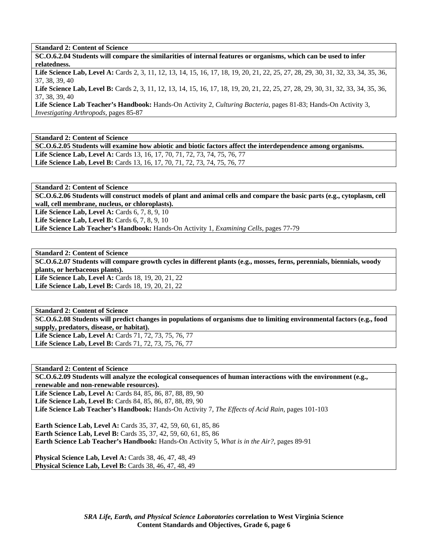**SC.O.6.2.04 Students will compare the similarities of internal features or organisms, which can be used to infer relatedness.** 

Life Science Lab, Level A: Cards 2, 3, 11, 12, 13, 14, 15, 16, 17, 18, 19, 20, 21, 22, 25, 27, 28, 29, 30, 31, 32, 33, 34, 35, 36, 37, 38, 39, 40

Life Science Lab, Level B: Cards 2, 3, 11, 12, 13, 14, 15, 16, 17, 18, 19, 20, 21, 22, 25, 27, 28, 29, 30, 31, 32, 33, 34, 35, 36, 37, 38, 39, 40

**Life Science Lab Teacher's Handbook:** Hands-On Activity 2, *Culturing Bacteria,* pages 81-83; Hands-On Activity 3, *Investigating Arthropods,* pages 85-87

**Standard 2: Content of Science SC.O.6.2.05 Students will examine how abiotic and biotic factors affect the interdependence among organisms. Life Science Lab, Level A:** Cards 13, 16, 17, 70, 71, 72, 73, 74, 75, 76, 77 Life Science Lab, Level B: Cards 13, 16, 17, 70, 71, 72, 73, 74, 75, 76, 77

**Standard 2: Content of Science** 

**SC.O.6.2.06 Students will construct models of plant and animal cells and compare the basic parts (e.g., cytoplasm, cell wall, cell membrane, nucleus, or chloroplasts).** 

**Life Science Lab, Level A: Cards 6, 7, 8, 9, 10** 

**Life Science Lab, Level B:** Cards 6, 7, 8, 9, 10

**Life Science Lab Teacher's Handbook:** Hands-On Activity 1, *Examining Cells,* pages 77-79

**Standard 2: Content of Science SC.O.6.2.07 Students will compare growth cycles in different plants (e.g., mosses, ferns, perennials, biennials, woody plants, or herbaceous plants).**  Life Science Lab, Level A: Cards 18, 19, 20, 21, 22 Life Science Lab, Level B: Cards 18, 19, 20, 21, 22

**Standard 2: Content of Science SC.O.6.2.08 Students will predict changes in populations of organisms due to limiting environmental factors (e.g., food supply, predators, disease, or habitat). Life Science Lab, Level A:** Cards 71, 72, 73, 75, 76, 77 **Life Science Lab, Level B:** Cards 71, 72, 73, 75, 76, 77

**Standard 2: Content of Science SC.O.6.2.09 Students will analyze the ecological consequences of human interactions with the environment (e.g., renewable and non-renewable resources). Life Science Lab, Level A:** Cards 84, 85, 86, 87, 88, 89, 90 **Life Science Lab, Level B:** Cards 84, 85, 86, 87, 88, 89, 90 **Life Science Lab Teacher's Handbook:** Hands-On Activity 7, *The Effects of Acid Rain,* pages 101-103 **Earth Science Lab, Level A:** Cards 35, 37, 42, 59, 60, 61, 85, 86 **Earth Science Lab, Level B:** Cards 35, 37, 42, 59, 60, 61, 85, 86 **Earth Science Lab Teacher's Handbook:** Hands-On Activity 5, *What is in the Air?,* pages 89-91 **Physical Science Lab, Level A:** Cards 38, 46, 47, 48, 49

**Physical Science Lab, Level B:** Cards 38, 46, 47, 48, 49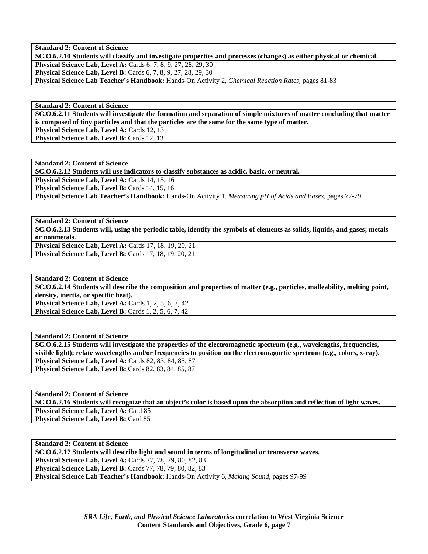**SC.O.6.2.10 Students will classify and investigate properties and processes (changes) as either physical or chemical. Physical Science Lab, Level A: Cards 6, 7, 8, 9, 27, 28, 29, 30 Physical Science Lab, Level B:** Cards 6, 7, 8, 9, 27, 28, 29, 30 **Physical Science Lab Teacher's Handbook:** Hands-On Activity 2, *Chemical Reaction Rates,* pages 81-83

**Standard 2: Content of Science SC.O.6.2.11 Students will investigate the formation and separation of simple mixtures of matter concluding that matter is composed of tiny particles and that the particles are the same for the same type of matter.**  Physical Science Lab, Level A: Cards 12, 13 Physical Science Lab, Level B: Cards 12, 13

**Standard 2: Content of Science SC.O.6.2.12 Students will use indicators to classify substances as acidic, basic, or neutral.**  Physical Science Lab, Level A: Cards 14, 15, 16 Physical Science Lab, Level B: Cards 14, 15, 16 **Physical Science Lab Teacher's Handbook:** Hands-On Activity 1, *Measuring pH of Acids and Bases,* pages 77-79

**Standard 2: Content of Science SC.O.6.2.13 Students will, using the periodic table, identify the symbols of elements as solids, liquids, and gases; metals or nonmetals. Physical Science Lab, Level A: Cards 17, 18, 19, 20, 21 Physical Science Lab, Level B:** Cards 17, 18, 19, 20, 21

**Standard 2: Content of Science SC.O.6.2.14 Students will describe the composition and properties of matter (e.g., particles, malleability, melting point, density, inertia, or specific heat). Physical Science Lab, Level A: Cards 1, 2, 5, 6, 7, 42 Physical Science Lab, Level B:** Cards 1, 2, 5, 6, 7, 42

**Standard 2: Content of Science SC.O.6.2.15 Students will investigate the properties of the electromagnetic spectrum (e.g., wavelengths, frequencies, visible light); relate wavelengths and/or frequencies to position on the electromagnetic spectrum (e.g., colors, x-ray). Physical Science Lab, Level A: Cards 82, 83, 84, 85, 87 Physical Science Lab, Level B: Cards 82, 83, 84, 85, 87** 

**Standard 2: Content of Science SC.O.6.2.16 Students will recognize that an object's color is based upon the absorption and reflection of light waves. Physical Science Lab, Level A: Card 85 Physical Science Lab, Level B: Card 85** 

**Standard 2: Content of Science SC.O.6.2.17 Students will describe light and sound in terms of longitudinal or transverse waves. Physical Science Lab, Level A:** Cards 77, 78, 79, 80, 82, 83 **Physical Science Lab, Level B:** Cards 77, 78, 79, 80, 82, 83 **Physical Science Lab Teacher's Handbook:** Hands-On Activity 6, *Making Sound,* pages 97-99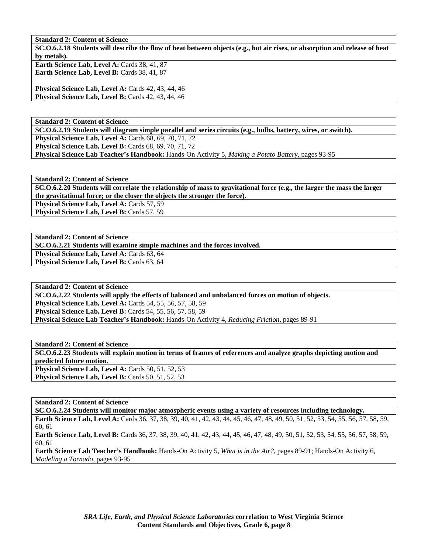**SC.O.6.2.18 Students will describe the flow of heat between objects (e.g., hot air rises, or absorption and release of heat by metals).** 

Earth Science Lab, Level A: Cards 38, 41, 87 Earth Science Lab, Level B: Cards 38, 41, 87

**Physical Science Lab, Level A: Cards 42, 43, 44, 46 Physical Science Lab, Level B:** Cards 42, 43, 44, 46

**Standard 2: Content of Science SC.O.6.2.19 Students will diagram simple parallel and series circuits (e.g., bulbs, battery, wires, or switch). Physical Science Lab, Level A: Cards 68, 69, 70, 71, 72 Physical Science Lab, Level B: Cards 68, 69, 70, 71, 72 Physical Science Lab Teacher's Handbook:** Hands-On Activity 5, *Making a Potato Battery,* pages 93-95

**Standard 2: Content of Science SC.O.6.2.20 Students will correlate the relationship of mass to gravitational force (e.g., the larger the mass the larger** 

**the gravitational force; or the closer the objects the stronger the force).** 

Physical Science Lab, Level A: Cards 57, 59 **Physical Science Lab, Level B: Cards 57, 59** 

**Standard 2: Content of Science** 

**SC.O.6.2.21 Students will examine simple machines and the forces involved.** 

**Physical Science Lab, Level A: Cards 63, 64** Physical Science Lab, Level B: Cards 63, 64

**Standard 2: Content of Science SC.O.6.2.22 Students will apply the effects of balanced and unbalanced forces on motion of objects. Physical Science Lab, Level A:** Cards 54, 55, 56, 57, 58, 59 **Physical Science Lab, Level B:** Cards 54, 55, 56, 57, 58, 59

**Physical Science Lab Teacher's Handbook:** Hands-On Activity 4, *Reducing Friction,* pages 89-91

**Standard 2: Content of Science SC.O.6.2.23 Students will explain motion in terms of frames of references and analyze graphs depicting motion and predicted future motion. Physical Science Lab, Level A: Cards 50, 51, 52, 53 Physical Science Lab, Level B: Cards 50, 51, 52, 53** 

## **Standard 2: Content of Science**

**SC.O.6.2.24 Students will monitor major atmospheric events using a variety of resources including technology. Earth Science Lab, Level A:** Cards 36, 37, 38, 39, 40, 41, 42, 43, 44, 45, 46, 47, 48, 49, 50, 51, 52, 53, 54, 55, 56, 57, 58, 59, 60, 61

**Earth Science Lab, Level B:** Cards 36, 37, 38, 39, 40, 41, 42, 43, 44, 45, 46, 47, 48, 49, 50, 51, 52, 53, 54, 55, 56, 57, 58, 59, 60, 61

**Earth Science Lab Teacher's Handbook:** Hands-On Activity 5, *What is in the Air?,* pages 89-91; Hands-On Activity 6, *Modeling a Tornado,* pages 93-95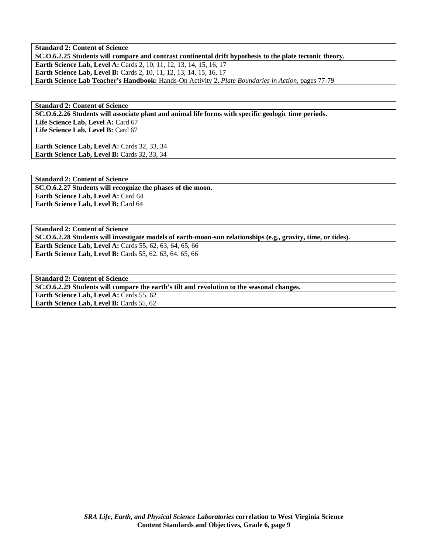**SC.O.6.2.25 Students will compare and contrast continental drift hypothesis to the plate tectonic theory. Earth Science Lab, Level A: Cards 2, 10, 11, 12, 13, 14, 15, 16, 17 Earth Science Lab, Level B:** Cards 2, 10, 11, 12, 13, 14, 15, 16, 17 **Earth Science Lab Teacher's Handbook:** Hands-On Activity 2, *Plate Boundaries in Action,* pages 77-79

**Standard 2: Content of Science SC.O.6.2.26 Students will associate plant and animal life forms with specific geologic time periods.**  Life Science Lab, Level A: Card 67 Life Science Lab, Level B: Card 67

Earth Science Lab, Level A: Cards 32, 33, 34 Earth Science Lab, Level B: Cards 32, 33, 34

**Standard 2: Content of Science SC.O.6.2.27 Students will recognize the phases of the moon. Earth Science Lab, Level A:** Card 64 **Earth Science Lab, Level B:** Card 64

**Standard 2: Content of Science SC.O.6.2.28 Students will investigate models of earth-moon-sun relationships (e.g., gravity, time, or tides). Earth Science Lab, Level A:** Cards 55, 62, 63, 64, 65, 66 **Earth Science Lab, Level B:** Cards 55, 62, 63, 64, 65, 66

**Standard 2: Content of Science SC.O.6.2.29 Students will compare the earth's tilt and revolution to the seasonal changes. Earth Science Lab, Level A: Cards 55, 62 Earth Science Lab, Level B: Cards 55, 62**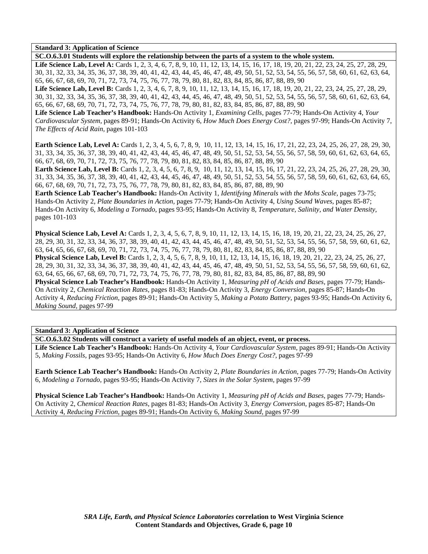**Standard 3: Application of Science** 

**SC.O.6.3.01 Students will explore the relationship between the parts of a system to the whole system.**  Life Science Lab, Level A: Cards 1, 2, 3, 4, 6, 7, 8, 9, 10, 11, 12, 13, 14, 15, 16, 17, 18, 19, 20, 21, 22, 23, 24, 25, 27, 28, 29, 30, 31, 32, 33, 34, 35, 36, 37, 38, 39, 40, 41, 42, 43, 44, 45, 46, 47, 48, 49, 50, 51, 52, 53, 54, 55, 56, 57, 58, 60, 61, 62, 63, 64, 65, 66, 67, 68, 69, 70, 71, 72, 73, 74, 75, 76, 77, 78, 79, 80, 81, 82, 83, 84, 85, 86, 87, 88, 89, 90

Life Science Lab, Level B: Cards 1, 2, 3, 4, 6, 7, 8, 9, 10, 11, 12, 13, 14, 15, 16, 17, 18, 19, 20, 21, 22, 23, 24, 25, 27, 28, 29, 30, 31, 32, 33, 34, 35, 36, 37, 38, 39, 40, 41, 42, 43, 44, 45, 46, 47, 48, 49, 50, 51, 52, 53, 54, 55, 56, 57, 58, 60, 61, 62, 63, 64, 65, 66, 67, 68, 69, 70, 71, 72, 73, 74, 75, 76, 77, 78, 79, 80, 81, 82, 83, 84, 85, 86, 87, 88, 89, 90

**Life Science Lab Teacher's Handbook:** Hands-On Activity 1, *Examining Cells,* pages 77-79; Hands-On Activity 4, *Your Cardiovascular System,* pages 89-91; Hands-On Activity 6, *How Much Does Energy Cost?,* pages 97-99; Hands-On Activity 7, *The Effects of Acid Rain,* pages 101-103

**Earth Science Lab, Level A:** Cards 1, 2, 3, 4, 5, 6, 7, 8, 9, 10, 11, 12, 13, 14, 15, 16, 17, 21, 22, 23, 24, 25, 26, 27, 28, 29, 30, 31, 33, 34, 35, 36, 37, 38, 39, 40, 41, 42, 43, 44, 45, 46, 47, 48, 49, 50, 51, 52, 53, 54, 55, 56, 57, 58, 59, 60, 61, 62, 63, 64, 65, 66, 67, 68, 69, 70, 71, 72, 73, 75, 76, 77, 78, 79, 80, 81, 82, 83, 84, 85, 86, 87, 88, 89, 90

**Earth Science Lab, Level B:** Cards 1, 2, 3, 4, 5, 6, 7, 8, 9, 10, 11, 12, 13, 14, 15, 16, 17, 21, 22, 23, 24, 25, 26, 27, 28, 29, 30, 31, 33, 34, 35, 36, 37, 38, 39, 40, 41, 42, 43, 44, 45, 46, 47, 48, 49, 50, 51, 52, 53, 54, 55, 56, 57, 58, 59, 60, 61, 62, 63, 64, 65, 66, 67, 68, 69, 70, 71, 72, 73, 75, 76, 77, 78, 79, 80, 81, 82, 83, 84, 85, 86, 87, 88, 89, 90

**Earth Science Lab Teacher's Handbook:** Hands-On Activity 1, *Identifying Minerals with the Mohs Scale,* pages 73-75; Hands-On Activity 2, *Plate Boundaries in Action,* pages 77-79; Hands-On Activity 4, *Using Sound Waves,* pages 85-87; Hands-On Activity 6, *Modeling a Tornado,* pages 93-95; Hands-On Activity 8, *Temperature, Salinity, and Water Density,* pages 101-103

**Physical Science Lab, Level A:** Cards 1, 2, 3, 4, 5, 6, 7, 8, 9, 10, 11, 12, 13, 14, 15, 16, 18, 19, 20, 21, 22, 23, 24, 25, 26, 27, 28, 29, 30, 31, 32, 33, 34, 36, 37, 38, 39, 40, 41, 42, 43, 44, 45, 46, 47, 48, 49, 50, 51, 52, 53, 54, 55, 56, 57, 58, 59, 60, 61, 62, 63, 64, 65, 66, 67, 68, 69, 70, 71, 72, 73, 74, 75, 76, 77, 78, 79, 80, 81, 82, 83, 84, 85, 86, 87, 88, 89, 90 **Physical Science Lab, Level B:** Cards 1, 2, 3, 4, 5, 6, 7, 8, 9, 10, 11, 12, 13, 14, 15, 16, 18, 19, 20, 21, 22, 23, 24, 25, 26, 27, 28, 29, 30, 31, 32, 33, 34, 36, 37, 38, 39, 40, 41, 42, 43, 44, 45, 46, 47, 48, 49, 50, 51, 52, 53, 54, 55, 56, 57, 58, 59, 60, 61, 62, 63, 64, 65, 66, 67, 68, 69, 70, 71, 72, 73, 74, 75, 76, 77, 78, 79, 80, 81, 82, 83, 84, 85, 86, 87, 88, 89, 90 **Physical Science Lab Teacher's Handbook:** Hands-On Activity 1, *Measuring pH of Acids and Bases,* pages 77-79; Hands-On Activity 2, *Chemical Reaction Rates,* pages 81-83; Hands-On Activity 3, *Energy Conversion,* pages 85-87; Hands-On Activity 4, *Reducing Friction,* pages 89-91; Hands-On Activity 5, *Making a Potato Battery,* pages 93-95; Hands-On Activity 6, *Making Sound,* pages 97-99

**Standard 3: Application of Science** 

**SC.O.6.3.02 Students will construct a variety of useful models of an object, event, or process.** 

**Life Science Lab Teacher's Handbook:** Hands-On Activity 4, *Your Cardiovascular System,* pages 89-91; Hands-On Activity 5, *Making Fossils,* pages 93-95; Hands-On Activity 6, *How Much Does Energy Cost?,* pages 97-99

**Earth Science Lab Teacher's Handbook:** Hands-On Activity 2, *Plate Boundaries in Action,* pages 77-79; Hands-On Activity 6, *Modeling a Tornado,* pages 93-95; Hands-On Activity 7, *Sizes in the Solar System,* pages 97-99

**Physical Science Lab Teacher's Handbook:** Hands-On Activity 1, *Measuring pH of Acids and Bases,* pages 77-79; Hands-On Activity 2, *Chemical Reaction Rates,* pages 81-83; Hands-On Activity 3, *Energy Conversion,* pages 85-87; Hands-On Activity 4, *Reducing Friction,* pages 89-91; Hands-On Activity 6, *Making Sound,* pages 97-99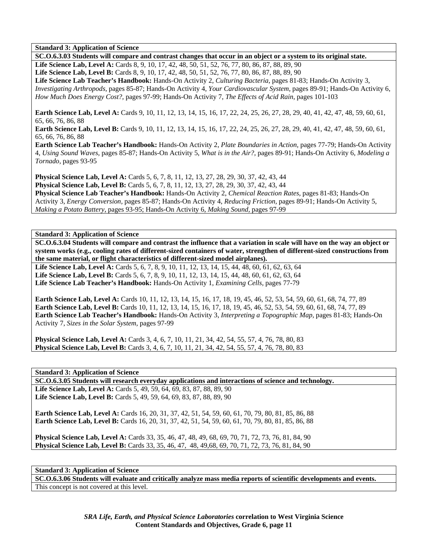**Standard 3: Application of Science** 

**SC.O.6.3.03 Students will compare and contrast changes that occur in an object or a system to its original state. Life Science Lab, Level A:** Cards 8, 9, 10, 17, 42, 48, 50, 51, 52, 76, 77, 80, 86, 87, 88, 89, 90 Life Science Lab, Level B: Cards 8, 9, 10, 17, 42, 48, 50, 51, 52, 76, 77, 80, 86, 87, 88, 89, 90 **Life Science Lab Teacher's Handbook:** Hands-On Activity 2, *Culturing Bacteria,* pages 81-83; Hands-On Activity 3, *Investigating Arthropods,* pages 85-87; Hands-On Activity 4, *Your Cardiovascular System,* pages 89-91; Hands-On Activity 6, *How Much Does Energy Cost?,* pages 97-99; Hands-On Activity 7, *The Effects of Acid Rain,* pages 101-103

**Earth Science Lab, Level A:** Cards 9, 10, 11, 12, 13, 14, 15, 16, 17, 22, 24, 25, 26, 27, 28, 29, 40, 41, 42, 47, 48, 59, 60, 61, 65, 66, 76, 86, 88

**Earth Science Lab, Level B:** Cards 9, 10, 11, 12, 13, 14, 15, 16, 17, 22, 24, 25, 26, 27, 28, 29, 40, 41, 42, 47, 48, 59, 60, 61, 65, 66, 76, 86, 88

**Earth Science Lab Teacher's Handbook:** Hands-On Activity 2, *Plate Boundaries in Action,* pages 77-79; Hands-On Activity 4, *Using Sound Waves,* pages 85-87; Hands-On Activity 5, *What is in the Air?,* pages 89-91; Hands-On Activity 6, *Modeling a Tornado,* pages 93-95

**Physical Science Lab, Level A:** Cards 5, 6, 7, 8, 11, 12, 13, 27, 28, 29, 30, 37, 42, 43, 44 **Physical Science Lab, Level B:** Cards 5, 6, 7, 8, 11, 12, 13, 27, 28, 29, 30, 37, 42, 43, 44 **Physical Science Lab Teacher's Handbook:** Hands-On Activity 2, *Chemical Reaction Rates,* pages 81-83; Hands-On Activity 3, *Energy Conversion,* pages 85-87; Hands-On Activity 4, *Reducing Friction,* pages 89-91; Hands-On Activity 5, *Making a Potato Battery,* pages 93-95; Hands-On Activity 6, *Making Sound,* pages 97-99

**Standard 3: Application of Science** 

**SC.O.6.3.04 Students will compare and contrast the influence that a variation in scale will have on the way an object or system works (e.g., cooling rates of different-sized containers of water, strengthen of different-sized constructions from the same material, or flight characteristics of different-sized model airplanes).** 

**Life Science Lab, Level A:** Cards 5, 6, 7, 8, 9, 10, 11, 12, 13, 14, 15, 44, 48, 60, 61, 62, 63, 64 Life Science Lab, Level B: Cards 5, 6, 7, 8, 9, 10, 11, 12, 13, 14, 15, 44, 48, 60, 61, 62, 63, 64 **Life Science Lab Teacher's Handbook:** Hands-On Activity 1, *Examining Cells,* pages 77-79

**Earth Science Lab, Level A:** Cards 10, 11, 12, 13, 14, 15, 16, 17, 18, 19, 45, 46, 52, 53, 54, 59, 60, 61, 68, 74, 77, 89 **Earth Science Lab, Level B:** Cards 10, 11, 12, 13, 14, 15, 16, 17, 18, 19, 45, 46, 52, 53, 54, 59, 60, 61, 68, 74, 77, 89 **Earth Science Lab Teacher's Handbook:** Hands-On Activity 3, *Interpreting a Topographic Map,* pages 81-83; Hands-On Activity 7, *Sizes in the Solar System,* pages 97-99

**Physical Science Lab, Level A:** Cards 3, 4, 6, 7, 10, 11, 21, 34, 42, 54, 55, 57, 4, 76, 78, 80, 83 **Physical Science Lab, Level B:** Cards 3, 4, 6, 7, 10, 11, 21, 34, 42, 54, 55, 57, 4, 76, 78, 80, 83

**Standard 3: Application of Science** 

**SC.O.6.3.05 Students will research everyday applications and interactions of science and technology.**  Life Science Lab, Level A: Cards 5, 49, 59, 64, 69, 83, 87, 88, 89, 90 **Life Science Lab, Level B:** Cards 5, 49, 59, 64, 69, 83, 87, 88, 89, 90

**Earth Science Lab, Level A:** Cards 16, 20, 31, 37, 42, 51, 54, 59, 60, 61, 70, 79, 80, 81, 85, 86, 88 **Earth Science Lab, Level B:** Cards 16, 20, 31, 37, 42, 51, 54, 59, 60, 61, 70, 79, 80, 81, 85, 86, 88

**Physical Science Lab, Level A:** Cards 33, 35, 46, 47, 48, 49, 68, 69, 70, 71, 72, 73, 76, 81, 84, 90 **Physical Science Lab, Level B:** Cards 33, 35, 46, 47, 48, 49,68, 69, 70, 71, 72, 73, 76, 81, 84, 90

**Standard 3: Application of Science** 

**SC.O.6.3.06 Students will evaluate and critically analyze mass media reports of scientific developments and events.**  This concept is not covered at this level.

> *SRA Life, Earth, and Physical Science Laboratories* **correlation to West Virginia Science Content Standards and Objectives, Grade 6, page 11**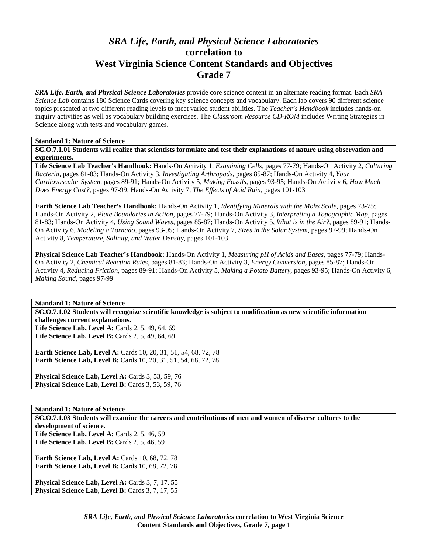# *SRA Life, Earth, and Physical Science Laboratories*  **correlation to West Virginia Science Content Standards and Objectives Grade 7**

*SRA Life, Earth, and Physical Science Laboratories* provide core science content in an alternate reading format. Each *SRA Science Lab* contains 180 Science Cards covering key science concepts and vocabulary. Each lab covers 90 different science topics presented at two different reading levels to meet varied student abilities. The *Teacher's Handbook* includes hands-on inquiry activities as well as vocabulary building exercises. The *Classroom Resource CD-ROM* includes Writing Strategies in Science along with tests and vocabulary games.

## **Standard 1: Nature of Science**

**SC.O.7.1.01 Students will realize that scientists formulate and test their explanations of nature using observation and experiments.** 

**Life Science Lab Teacher's Handbook:** Hands-On Activity 1, *Examining Cells,* pages 77-79; Hands-On Activity 2, *Culturing Bacteria,* pages 81-83; Hands-On Activity 3, *Investigating Arthropods,* pages 85-87; Hands-On Activity 4, *Your Cardiovascular System,* pages 89-91; Hands-On Activity 5, *Making Fossils,* pages 93-95; Hands-On Activity 6, *How Much Does Energy Cost?,* pages 97-99; Hands-On Activity 7, *The Effects of Acid Rain,* pages 101-103

**Earth Science Lab Teacher's Handbook:** Hands-On Activity 1, *Identifying Minerals with the Mohs Scale,* pages 73-75; Hands-On Activity 2, *Plate Boundaries in Action,* pages 77-79; Hands-On Activity 3, *Interpreting a Topographic Map,* pages 81-83; Hands-On Activity 4, *Using Sound Waves,* pages 85-87; Hands-On Activity 5, *What is in the Air?,* pages 89-91; Hands-On Activity 6, *Modeling a Tornado,* pages 93-95; Hands-On Activity 7, *Sizes in the Solar System,* pages 97-99; Hands-On Activity 8, *Temperature, Salinity, and Water Density,* pages 101-103

**Physical Science Lab Teacher's Handbook:** Hands-On Activity 1, *Measuring pH of Acids and Bases,* pages 77-79; Hands-On Activity 2, *Chemical Reaction Rates,* pages 81-83; Hands-On Activity 3, *Energy Conversion,* pages 85-87; Hands-On Activity 4, *Reducing Friction,* pages 89-91; Hands-On Activity 5, *Making a Potato Battery,* pages 93-95; Hands-On Activity 6, *Making Sound,* pages 97-99

**Standard 1: Nature of Science** 

**SC.O.7.1.02 Students will recognize scientific knowledge is subject to modification as new scientific information challenges current explanations.** 

Life Science Lab, Level A: Cards 2, 5, 49, 64, 69 **Life Science Lab, Level B:** Cards 2, 5, 49, 64, 69

**Earth Science Lab, Level A:** Cards 10, 20, 31, 51, 54, 68, 72, 78 **Earth Science Lab, Level B:** Cards 10, 20, 31, 51, 54, 68, 72, 78

**Physical Science Lab, Level A: Cards 3, 53, 59, 76** Physical Science Lab, Level B: Cards 3, 53, 59, 76

## **Standard 1: Nature of Science**

**SC.O.7.1.03 Students will examine the careers and contributions of men and women of diverse cultures to the development of science.** 

Life Science Lab, Level A: Cards 2, 5, 46, 59 **Life Science Lab, Level B:** Cards 2, 5, 46, 59

**Earth Science Lab, Level A: Cards 10, 68, 72, 78 Earth Science Lab, Level B: Cards 10, 68, 72, 78** 

Physical Science Lab, Level A: Cards 3, 7, 17, 55 Physical Science Lab, Level B: Cards 3, 7, 17, 55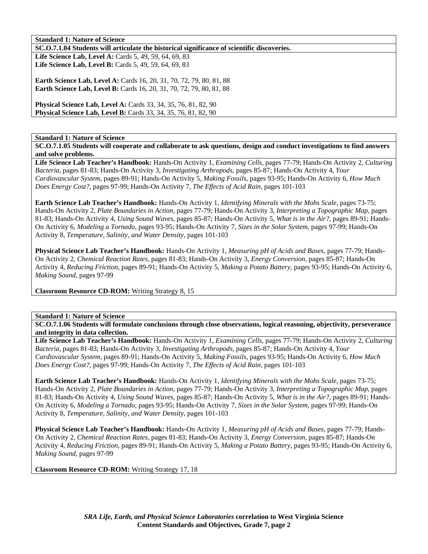**SC.O.7.1.04 Students will articulate the historical significance of scientific discoveries.** 

Life Science Lab, Level A: Cards 5, 49, 59, 64, 69, 83 **Life Science Lab, Level B:** Cards 5, 49, 59, 64, 69, 83

**Earth Science Lab, Level A: Cards 16, 20, 31, 70, 72, 79, 80, 81, 88 Earth Science Lab, Level B:** Cards 16, 20, 31, 70, 72, 79, 80, 81, 88

**Physical Science Lab, Level A:** Cards 33, 34, 35, 76, 81, 82, 90 **Physical Science Lab, Level B:** Cards 33, 34, 35, 76, 81, 82, 90

**Standard 1: Nature of Science** 

**SC.O.7.1.05 Students will cooperate and collaborate to ask questions, design and conduct investigations to find answers and solve problems.** 

**Life Science Lab Teacher's Handbook:** Hands-On Activity 1, *Examining Cells,* pages 77-79; Hands-On Activity 2, *Culturing Bacteria,* pages 81-83; Hands-On Activity 3, *Investigating Arthropods,* pages 85-87; Hands-On Activity 4, *Your Cardiovascular System,* pages 89-91; Hands-On Activity 5, *Making Fossils,* pages 93-95; Hands-On Activity 6, *How Much Does Energy Cost?,* pages 97-99; Hands-On Activity 7, *The Effects of Acid Rain,* pages 101-103

**Earth Science Lab Teacher's Handbook:** Hands-On Activity 1, *Identifying Minerals with the Mohs Scale,* pages 73-75; Hands-On Activity 2, *Plate Boundaries in Action,* pages 77-79; Hands-On Activity 3, *Interpreting a Topographic Map,* pages 81-83; Hands-On Activity 4, *Using Sound Waves,* pages 85-87; Hands-On Activity 5, *What is in the Air?,* pages 89-91; Hands-On Activity 6, *Modeling a Tornado,* pages 93-95; Hands-On Activity 7, *Sizes in the Solar System,* pages 97-99; Hands-On Activity 8, *Temperature, Salinity, and Water Density,* pages 101-103

**Physical Science Lab Teacher's Handbook:** Hands-On Activity 1, *Measuring pH of Acids and Bases,* pages 77-79; Hands-On Activity 2, *Chemical Reaction Rates,* pages 81-83; Hands-On Activity 3, *Energy Conversion,* pages 85-87; Hands-On Activity 4, *Reducing Friction,* pages 89-91; Hands-On Activity 5, *Making a Potato Battery,* pages 93-95; Hands-On Activity 6, *Making Sound,* pages 97-99

**Classroom Resource CD-ROM:** Writing Strategy 8, 15

#### **Standard 1: Nature of Science**

**SC.O.7.1.06 Students will formulate conclusions through close observations, logical reasoning, objectivity, perseverance and integrity in data collection.** 

**Life Science Lab Teacher's Handbook:** Hands-On Activity 1, *Examining Cells,* pages 77-79; Hands-On Activity 2, *Culturing Bacteria,* pages 81-83; Hands-On Activity 3, *Investigating Arthropods,* pages 85-87; Hands-On Activity 4, *Your Cardiovascular System,* pages 89-91; Hands-On Activity 5, *Making Fossils,* pages 93-95; Hands-On Activity 6, *How Much Does Energy Cost?,* pages 97-99; Hands-On Activity 7, *The Effects of Acid Rain,* pages 101-103

**Earth Science Lab Teacher's Handbook:** Hands-On Activity 1, *Identifying Minerals with the Mohs Scale,* pages 73-75; Hands-On Activity 2, *Plate Boundaries in Action,* pages 77-79; Hands-On Activity 3, *Interpreting a Topographic Map,* pages 81-83; Hands-On Activity 4, *Using Sound Waves,* pages 85-87; Hands-On Activity 5, *What is in the Air?,* pages 89-91; Hands-On Activity 6, *Modeling a Tornado,* pages 93-95; Hands-On Activity 7, *Sizes in the Solar System,* pages 97-99; Hands-On Activity 8, *Temperature, Salinity, and Water Density,* pages 101-103

**Physical Science Lab Teacher's Handbook:** Hands-On Activity 1, *Measuring pH of Acids and Bases,* pages 77-79; Hands-On Activity 2, *Chemical Reaction Rates,* pages 81-83; Hands-On Activity 3, *Energy Conversion,* pages 85-87; Hands-On Activity 4, *Reducing Friction,* pages 89-91; Hands-On Activity 5, *Making a Potato Battery,* pages 93-95; Hands-On Activity 6, *Making Sound,* pages 97-99

**Classroom Resource CD-ROM:** Writing Strategy 17, 18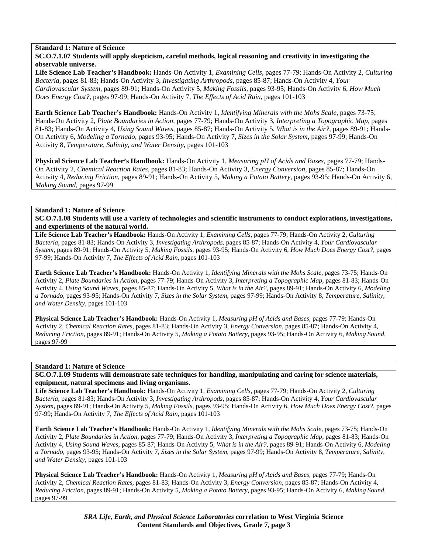**SC.O.7.1.07 Students will apply skepticism, careful methods, logical reasoning and creativity in investigating the observable universe.** 

**Life Science Lab Teacher's Handbook:** Hands-On Activity 1, *Examining Cells,* pages 77-79; Hands-On Activity 2, *Culturing Bacteria,* pages 81-83; Hands-On Activity 3, *Investigating Arthropods,* pages 85-87; Hands-On Activity 4, *Your Cardiovascular System,* pages 89-91; Hands-On Activity 5, *Making Fossils,* pages 93-95; Hands-On Activity 6, *How Much Does Energy Cost?,* pages 97-99; Hands-On Activity 7, *The Effects of Acid Rain,* pages 101-103

**Earth Science Lab Teacher's Handbook:** Hands-On Activity 1, *Identifying Minerals with the Mohs Scale,* pages 73-75; Hands-On Activity 2, *Plate Boundaries in Action,* pages 77-79; Hands-On Activity 3, *Interpreting a Topographic Map,* pages 81-83; Hands-On Activity 4, *Using Sound Waves,* pages 85-87; Hands-On Activity 5, *What is in the Air?,* pages 89-91; Hands-On Activity 6, *Modeling a Tornado,* pages 93-95; Hands-On Activity 7, *Sizes in the Solar System,* pages 97-99; Hands-On Activity 8, *Temperature, Salinity, and Water Density,* pages 101-103

**Physical Science Lab Teacher's Handbook:** Hands-On Activity 1, *Measuring pH of Acids and Bases,* pages 77-79; Hands-On Activity 2, *Chemical Reaction Rates,* pages 81-83; Hands-On Activity 3, *Energy Conversion,* pages 85-87; Hands-On Activity 4, *Reducing Friction,* pages 89-91; Hands-On Activity 5, *Making a Potato Battery,* pages 93-95; Hands-On Activity 6, *Making Sound,* pages 97-99

#### **Standard 1: Nature of Science**

**SC.O.7.1.08 Students will use a variety of technologies and scientific instruments to conduct explorations, investigations, and experiments of the natural world.** 

**Life Science Lab Teacher's Handbook:** Hands-On Activity 1, *Examining Cells,* pages 77-79; Hands-On Activity 2, *Culturing Bacteria,* pages 81-83; Hands-On Activity 3, *Investigating Arthropods,* pages 85-87; Hands-On Activity 4, *Your Cardiovascular System,* pages 89-91; Hands-On Activity 5, *Making Fossils,* pages 93-95; Hands-On Activity 6, *How Much Does Energy Cost?,* pages 97-99; Hands-On Activity 7, *The Effects of Acid Rain,* pages 101-103

**Earth Science Lab Teacher's Handbook:** Hands-On Activity 1, *Identifying Minerals with the Mohs Scale,* pages 73-75; Hands-On Activity 2, *Plate Boundaries in Action,* pages 77-79; Hands-On Activity 3, *Interpreting a Topographic Map,* pages 81-83; Hands-On Activity 4, *Using Sound Waves,* pages 85-87; Hands-On Activity 5, *What is in the Air?,* pages 89-91; Hands-On Activity 6, *Modeling a Tornado,* pages 93-95; Hands-On Activity 7, *Sizes in the Solar System,* pages 97-99; Hands-On Activity 8, *Temperature, Salinity, and Water Density,* pages 101-103

**Physical Science Lab Teacher's Handbook:** Hands-On Activity 1, *Measuring pH of Acids and Bases,* pages 77-79; Hands-On Activity 2, *Chemical Reaction Rates,* pages 81-83; Hands-On Activity 3, *Energy Conversion,* pages 85-87; Hands-On Activity 4, *Reducing Friction,* pages 89-91; Hands-On Activity 5, *Making a Potato Battery,* pages 93-95; Hands-On Activity 6, *Making Sound,* pages 97-99

## **Standard 1: Nature of Science**

**SC.O.7.1.09 Students will demonstrate safe techniques for handling, manipulating and caring for science materials, equipment, natural specimens and living organisms.** 

**Life Science Lab Teacher's Handbook:** Hands-On Activity 1, *Examining Cells,* pages 77-79; Hands-On Activity 2, *Culturing Bacteria,* pages 81-83; Hands-On Activity 3, *Investigating Arthropods,* pages 85-87; Hands-On Activity 4, *Your Cardiovascular System,* pages 89-91; Hands-On Activity 5, *Making Fossils,* pages 93-95; Hands-On Activity 6, *How Much Does Energy Cost?,* pages 97-99; Hands-On Activity 7, *The Effects of Acid Rain,* pages 101-103

**Earth Science Lab Teacher's Handbook:** Hands-On Activity 1, *Identifying Minerals with the Mohs Scale,* pages 73-75; Hands-On Activity 2, *Plate Boundaries in Action,* pages 77-79; Hands-On Activity 3, *Interpreting a Topographic Map,* pages 81-83; Hands-On Activity 4, *Using Sound Waves,* pages 85-87; Hands-On Activity 5, *What is in the Air?,* pages 89-91; Hands-On Activity 6, *Modeling a Tornado,* pages 93-95; Hands-On Activity 7, *Sizes in the Solar System,* pages 97-99; Hands-On Activity 8, *Temperature, Salinity, and Water Density,* pages 101-103

**Physical Science Lab Teacher's Handbook:** Hands-On Activity 1, *Measuring pH of Acids and Bases,* pages 77-79; Hands-On Activity 2, *Chemical Reaction Rates,* pages 81-83; Hands-On Activity 3, *Energy Conversion,* pages 85-87; Hands-On Activity 4, *Reducing Friction,* pages 89-91; Hands-On Activity 5, *Making a Potato Battery,* pages 93-95; Hands-On Activity 6, *Making Sound,* pages 97-99

> *SRA Life, Earth, and Physical Science Laboratories* **correlation to West Virginia Science Content Standards and Objectives, Grade 7, page 3**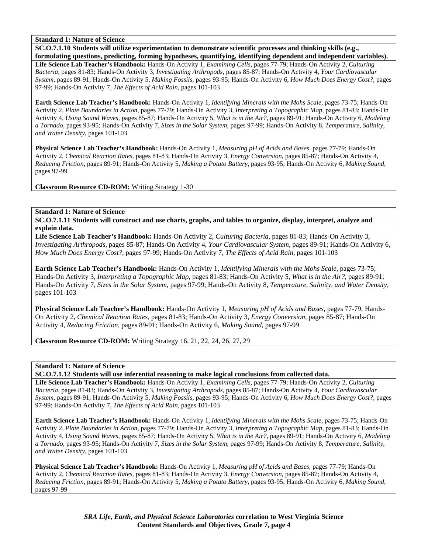**SC.O.7.1.10 Students will utilize experimentation to demonstrate scientific processes and thinking skills (e.g.,** 

**formulating questions, predicting, forming hypotheses, quantifying, identifying dependent and independent variables). Life Science Lab Teacher's Handbook:** Hands-On Activity 1, *Examining Cells,* pages 77-79; Hands-On Activity 2, *Culturing Bacteria,* pages 81-83; Hands-On Activity 3, *Investigating Arthropods,* pages 85-87; Hands-On Activity 4, *Your Cardiovascular System,* pages 89-91; Hands-On Activity 5, *Making Fossils,* pages 93-95; Hands-On Activity 6, *How Much Does Energy Cost?,* pages 97-99; Hands-On Activity 7, *The Effects of Acid Rain,* pages 101-103

**Earth Science Lab Teacher's Handbook:** Hands-On Activity 1, *Identifying Minerals with the Mohs Scale,* pages 73-75; Hands-On Activity 2, *Plate Boundaries in Action,* pages 77-79; Hands-On Activity 3, *Interpreting a Topographic Map,* pages 81-83; Hands-On Activity 4, *Using Sound Waves,* pages 85-87; Hands-On Activity 5, *What is in the Air?,* pages 89-91; Hands-On Activity 6, *Modeling a Tornado,* pages 93-95; Hands-On Activity 7, *Sizes in the Solar System,* pages 97-99; Hands-On Activity 8, *Temperature, Salinity, and Water Density,* pages 101-103

**Physical Science Lab Teacher's Handbook:** Hands-On Activity 1, *Measuring pH of Acids and Bases,* pages 77-79; Hands-On Activity 2, *Chemical Reaction Rates,* pages 81-83; Hands-On Activity 3, *Energy Conversion,* pages 85-87; Hands-On Activity 4, *Reducing Friction,* pages 89-91; Hands-On Activity 5, *Making a Potato Battery,* pages 93-95; Hands-On Activity 6, *Making Sound,* pages 97-99

**Classroom Resource CD-ROM:** Writing Strategy 1-30

## **Standard 1: Nature of Science**

**SC.O.7.1.11 Students will construct and use charts, graphs, and tables to organize, display, interpret, analyze and explain data.** 

**Life Science Lab Teacher's Handbook:** Hands-On Activity 2, *Culturing Bacteria,* pages 81-83; Hands-On Activity 3, *Investigating Arthropods,* pages 85-87; Hands-On Activity 4, *Your Cardiovascular System,* pages 89-91; Hands-On Activity 6, *How Much Does Energy Cost?,* pages 97-99; Hands-On Activity 7, *The Effects of Acid Rain,* pages 101-103

**Earth Science Lab Teacher's Handbook:** Hands-On Activity 1, *Identifying Minerals with the Mohs Scale,* pages 73-75; Hands-On Activity 3, *Interpreting a Topographic Map,* pages 81-83; Hands-On Activity 5, *What is in the Air?,* pages 89-91; Hands-On Activity 7, *Sizes in the Solar System,* pages 97-99; Hands-On Activity 8, *Temperature, Salinity, and Water Density,* pages 101-103

**Physical Science Lab Teacher's Handbook:** Hands-On Activity 1, *Measuring pH of Acids and Bases,* pages 77-79; Hands-On Activity 2, *Chemical Reaction Rates,* pages 81-83; Hands-On Activity 3, *Energy Conversion,* pages 85-87; Hands-On Activity 4, *Reducing Friction,* pages 89-91; Hands-On Activity 6, *Making Sound,* pages 97-99

**Classroom Resource CD-ROM:** Writing Strategy 16, 21, 22, 24, 26, 27, 29

## **Standard 1: Nature of Science**

**SC.O.7.1.12 Students will use inferential reasoning to make logical conclusions from collected data.** 

**Life Science Lab Teacher's Handbook:** Hands-On Activity 1, *Examining Cells,* pages 77-79; Hands-On Activity 2, *Culturing Bacteria,* pages 81-83; Hands-On Activity 3, *Investigating Arthropods,* pages 85-87; Hands-On Activity 4, *Your Cardiovascular System,* pages 89-91; Hands-On Activity 5, *Making Fossils,* pages 93-95; Hands-On Activity 6, *How Much Does Energy Cost?,* pages 97-99; Hands-On Activity 7, *The Effects of Acid Rain,* pages 101-103

**Earth Science Lab Teacher's Handbook:** Hands-On Activity 1, *Identifying Minerals with the Mohs Scale,* pages 73-75; Hands-On Activity 2, *Plate Boundaries in Action,* pages 77-79; Hands-On Activity 3, *Interpreting a Topographic Map,* pages 81-83; Hands-On Activity 4, *Using Sound Waves,* pages 85-87; Hands-On Activity 5, *What is in the Air?,* pages 89-91; Hands-On Activity 6, *Modeling a Tornado,* pages 93-95; Hands-On Activity 7, *Sizes in the Solar System,* pages 97-99; Hands-On Activity 8, *Temperature, Salinity, and Water Density,* pages 101-103

**Physical Science Lab Teacher's Handbook:** Hands-On Activity 1, *Measuring pH of Acids and Bases,* pages 77-79; Hands-On Activity 2, *Chemical Reaction Rates,* pages 81-83; Hands-On Activity 3, *Energy Conversion,* pages 85-87; Hands-On Activity 4, *Reducing Friction,* pages 89-91; Hands-On Activity 5, *Making a Potato Battery,* pages 93-95; Hands-On Activity 6, *Making Sound,* pages 97-99

> *SRA Life, Earth, and Physical Science Laboratories* **correlation to West Virginia Science Content Standards and Objectives, Grade 7, page 4**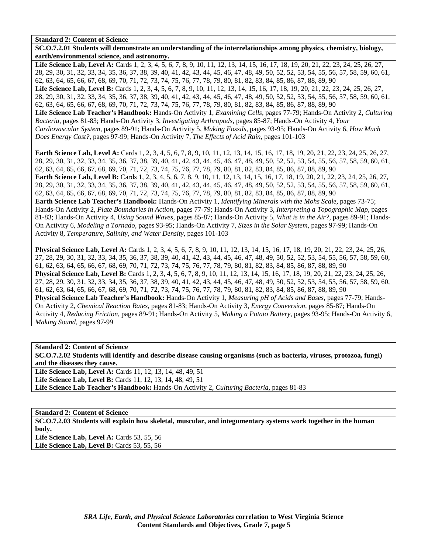**SC.O.7.2.01 Students will demonstrate an understanding of the interrelationships among physics, chemistry, biology, earth/environmental science, and astronomy.**  Life Science Lab, Level A: Cards 1, 2, 3, 4, 5, 6, 7, 8, 9, 10, 11, 12, 13, 14, 15, 16, 17, 18, 19, 20, 21, 22, 23, 24, 25, 26, 27, 28, 29, 30, 31, 32, 33, 34, 35, 36, 37, 38, 39, 40, 41, 42, 43, 44, 45, 46, 47, 48, 49, 50, 52, 52, 53, 54, 55, 56, 57, 58, 59, 60, 61, 62, 63, 64, 65, 66, 67, 68, 69, 70, 71, 72, 73, 74, 75, 76, 77, 78, 79, 80, 81, 82, 83, 84, 85, 86, 87, 88, 89, 90 Life Science Lab, Level B: Cards 1, 2, 3, 4, 5, 6, 7, 8, 9, 10, 11, 12, 13, 14, 15, 16, 17, 18, 19, 20, 21, 22, 23, 24, 25, 26, 27, 28, 29, 30, 31, 32, 33, 34, 35, 36, 37, 38, 39, 40, 41, 42, 43, 44, 45, 46, 47, 48, 49, 50, 52, 52, 53, 54, 55, 56, 57, 58, 59, 60, 61, 62, 63, 64, 65, 66, 67, 68, 69, 70, 71, 72, 73, 74, 75, 76, 77, 78, 79, 80, 81, 82, 83, 84, 85, 86, 87, 88, 89, 90 **Life Science Lab Teacher's Handbook:** Hands-On Activity 1, *Examining Cells,* pages 77-79; Hands-On Activity 2, *Culturing Bacteria,* pages 81-83; Hands-On Activity 3, *Investigating Arthropods,* pages 85-87; Hands-On Activity 4, *Your Cardiovascular System,* pages 89-91; Hands-On Activity 5, *Making Fossils,* pages 93-95; Hands-On Activity 6, *How Much Does Energy Cost?,* pages 97-99; Hands-On Activity 7, *The Effects of Acid Rain,* pages 101-103

**Earth Science Lab, Level A:** Cards 1, 2, 3, 4, 5, 6, 7, 8, 9, 10, 11, 12, 13, 14, 15, 16, 17, 18, 19, 20, 21, 22, 23, 24, 25, 26, 27, 28, 29, 30, 31, 32, 33, 34, 35, 36, 37, 38, 39, 40, 41, 42, 43, 44, 45, 46, 47, 48, 49, 50, 52, 52, 53, 54, 55, 56, 57, 58, 59, 60, 61, 62, 63, 64, 65, 66, 67, 68, 69, 70, 71, 72, 73, 74, 75, 76, 77, 78, 79, 80, 81, 82, 83, 84, 85, 86, 87, 88, 89, 90 **Earth Science Lab, Level B:** Cards 1, 2, 3, 4, 5, 6, 7, 8, 9, 10, 11, 12, 13, 14, 15, 16, 17, 18, 19, 20, 21, 22, 23, 24, 25, 26, 27, 28, 29, 30, 31, 32, 33, 34, 35, 36, 37, 38, 39, 40, 41, 42, 43, 44, 45, 46, 47, 48, 49, 50, 52, 52, 53, 54, 55, 56, 57, 58, 59, 60, 61, 62, 63, 64, 65, 66, 67, 68, 69, 70, 71, 72, 73, 74, 75, 76, 77, 78, 79, 80, 81, 82, 83, 84, 85, 86, 87, 88, 89, 90 **Earth Science Lab Teacher's Handbook:** Hands-On Activity 1, *Identifying Minerals with the Mohs Scale,* pages 73-75; Hands-On Activity 2, *Plate Boundaries in Action,* pages 77-79; Hands-On Activity 3, *Interpreting a Topographic Map,* pages 81-83; Hands-On Activity 4, *Using Sound Waves,* pages 85-87; Hands-On Activity 5, *What is in the Air?,* pages 89-91; Hands-On Activity 6, *Modeling a Tornado,* pages 93-95; Hands-On Activity 7, *Sizes in the Solar System,* pages 97-99; Hands-On Activity 8, *Temperature, Salinity, and Water Density,* pages 101-103

**Physical Science Lab, Level A:** Cards 1, 2, 3, 4, 5, 6, 7, 8, 9, 10, 11, 12, 13, 14, 15, 16, 17, 18, 19, 20, 21, 22, 23, 24, 25, 26, 27, 28, 29, 30, 31, 32, 33, 34, 35, 36, 37, 38, 39, 40, 41, 42, 43, 44, 45, 46, 47, 48, 49, 50, 52, 52, 53, 54, 55, 56, 57, 58, 59, 60, 61, 62, 63, 64, 65, 66, 67, 68, 69, 70, 71, 72, 73, 74, 75, 76, 77, 78, 79, 80, 81, 82, 83, 84, 85, 86, 87, 88, 89, 90 **Physical Science Lab, Level B:** Cards 1, 2, 3, 4, 5, 6, 7, 8, 9, 10, 11, 12, 13, 14, 15, 16, 17, 18, 19, 20, 21, 22, 23, 24, 25, 26, 27, 28, 29, 30, 31, 32, 33, 34, 35, 36, 37, 38, 39, 40, 41, 42, 43, 44, 45, 46, 47, 48, 49, 50, 52, 52, 53, 54, 55, 56, 57, 58, 59, 60, 61, 62, 63, 64, 65, 66, 67, 68, 69, 70, 71, 72, 73, 74, 75, 76, 77, 78, 79, 80, 81, 82, 83, 84, 85, 86, 87, 88, 89, 90 **Physical Science Lab Teacher's Handbook:** Hands-On Activity 1, *Measuring pH of Acids and Bases,* pages 77-79; Hands-On Activity 2, *Chemical Reaction Rates,* pages 81-83; Hands-On Activity 3, *Energy Conversion,* pages 85-87; Hands-On Activity 4, *Reducing Friction,* pages 89-91; Hands-On Activity 5, *Making a Potato Battery,* pages 93-95; Hands-On Activity 6, *Making Sound,* pages 97-99

**Standard 2: Content of Science** 

**SC.O.7.2.02 Students will identify and describe disease causing organisms (such as bacteria, viruses, protozoa, fungi) and the diseases they cause.** 

Life Science Lab, Level A: Cards 11, 12, 13, 14, 48, 49, 51

**Life Science Lab, Level B:** Cards 11, 12, 13, 14, 48, 49, 51

**Life Science Lab Teacher's Handbook:** Hands-On Activity 2, *Culturing Bacteria,* pages 81-83

**Standard 2: Content of Science** 

**SC.O.7.2.03 Students will explain how skeletal, muscular, and integumentary systems work together in the human body.** 

Life Science Lab, Level A: Cards 53, 55, 56 Life Science Lab, Level B: Cards 53, 55, 56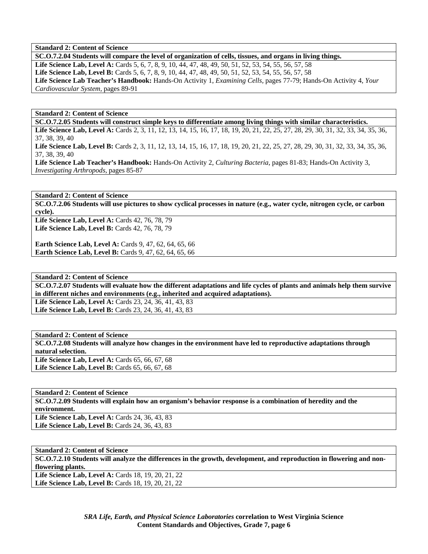**SC.O.7.2.04 Students will compare the level of organization of cells, tissues, and organs in living things. Life Science Lab, Level A:** Cards 5, 6, 7, 8, 9, 10, 44, 47, 48, 49, 50, 51, 52, 53, 54, 55, 56, 57, 58 **Life Science Lab, Level B:** Cards 5, 6, 7, 8, 9, 10, 44, 47, 48, 49, 50, 51, 52, 53, 54, 55, 56, 57, 58 **Life Science Lab Teacher's Handbook:** Hands-On Activity 1, *Examining Cells,* pages 77-79; Hands-On Activity 4, *Your Cardiovascular System,* pages 89-91

**Standard 2: Content of Science** 

**SC.O.7.2.05 Students will construct simple keys to differentiate among living things with similar characteristics.** 

Life Science Lab, Level A: Cards 2, 3, 11, 12, 13, 14, 15, 16, 17, 18, 19, 20, 21, 22, 25, 27, 28, 29, 30, 31, 32, 33, 34, 35, 36, 37, 38, 39, 40

Life Science Lab, Level B: Cards 2, 3, 11, 12, 13, 14, 15, 16, 17, 18, 19, 20, 21, 22, 25, 27, 28, 29, 30, 31, 32, 33, 34, 35, 36, 37, 38, 39, 40

**Life Science Lab Teacher's Handbook:** Hands-On Activity 2, *Culturing Bacteria,* pages 81-83; Hands-On Activity 3, *Investigating Arthropods,* pages 85-87

**Standard 2: Content of Science SC.O.7.2.06 Students will use pictures to show cyclical processes in nature (e.g., water cycle, nitrogen cycle, or carbon cycle).** 

Life Science Lab, Level A: Cards 42, 76, 78, 79 **Life Science Lab, Level B:** Cards 42, 76, 78, 79

**Earth Science Lab, Level A: Cards 9, 47, 62, 64, 65, 66 Earth Science Lab, Level B:** Cards 9, 47, 62, 64, 65, 66

**Standard 2: Content of Science** 

**SC.O.7.2.07 Students will evaluate how the different adaptations and life cycles of plants and animals help them survive in different niches and environments (e.g., inherited and acquired adaptations).** 

Life Science Lab, Level A: Cards 23, 24, 36, 41, 43, 83 **Life Science Lab, Level B:** Cards 23, 24, 36, 41, 43, 83

**Standard 2: Content of Science** 

**SC.O.7.2.08 Students will analyze how changes in the environment have led to reproductive adaptations through natural selection.** 

Life Science Lab, Level A: Cards 65, 66, 67, 68 Life Science Lab, Level B: Cards 65, 66, 67, 68

**Standard 2: Content of Science SC.O.7.2.09 Students will explain how an organism's behavior response is a combination of heredity and the environment. Life Science Lab, Level A: Cards 24, 36, 43, 83** Life Science Lab, Level B: Cards 24, 36, 43, 83

**Standard 2: Content of Science SC.O.7.2.10 Students will analyze the differences in the growth, development, and reproduction in flowering and nonflowering plants.**  Life Science Lab, Level A: Cards 18, 19, 20, 21, 22 Life Science Lab, Level B: Cards 18, 19, 20, 21, 22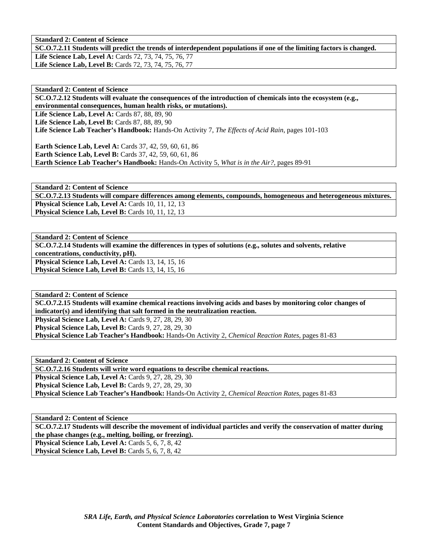**SC.O.7.2.11 Students will predict the trends of interdependent populations if one of the limiting factors is changed.** 

**Life Science Lab, Level A:** Cards 72, 73, 74, 75, 76, 77 **Life Science Lab, Level B:** Cards 72, 73, 74, 75, 76, 77

**Standard 2: Content of Science** 

**SC.O.7.2.12 Students will evaluate the consequences of the introduction of chemicals into the ecosystem (e.g., environmental consequences, human health risks, or mutations).** 

Life Science Lab, Level A: Cards 87, 88, 89, 90 **Life Science Lab, Level B: Cards 87, 88, 89, 90 Life Science Lab Teacher's Handbook:** Hands-On Activity 7, *The Effects of Acid Rain,* pages 101-103

**Earth Science Lab, Level A:** Cards 37, 42, 59, 60, 61, 86 **Earth Science Lab, Level B:** Cards 37, 42, 59, 60, 61, 86 **Earth Science Lab Teacher's Handbook:** Hands-On Activity 5, *What is in the Air?,* pages 89-91

**Standard 2: Content of Science SC.O.7.2.13 Students will compare differences among elements, compounds, homogeneous and heterogeneous mixtures.**  Physical Science Lab, Level A: Cards 10, 11, 12, 13 **Physical Science Lab, Level B:** Cards 10, 11, 12, 13

**Standard 2: Content of Science SC.O.7.2.14 Students will examine the differences in types of solutions (e.g., solutes and solvents, relative concentrations, conductivity, pH).**  Physical Science Lab, Level A: Cards 13, 14, 15, 16 **Physical Science Lab, Level B: Cards 13, 14, 15, 16** 

**Standard 2: Content of Science SC.O.7.2.15 Students will examine chemical reactions involving acids and bases by monitoring color changes of indicator(s) and identifying that salt formed in the neutralization reaction. Physical Science Lab, Level A: Cards 9, 27, 28, 29, 30 Physical Science Lab, Level B: Cards 9, 27, 28, 29, 30 Physical Science Lab Teacher's Handbook:** Hands-On Activity 2, *Chemical Reaction Rates,* pages 81-83

**Standard 2: Content of Science SC.O.7.2.16 Students will write word equations to describe chemical reactions. Physical Science Lab, Level A: Cards 9, 27, 28, 29, 30 Physical Science Lab, Level B: Cards 9, 27, 28, 29, 30 Physical Science Lab Teacher's Handbook:** Hands-On Activity 2, *Chemical Reaction Rates,* pages 81-83

**Standard 2: Content of Science SC.O.7.2.17 Students will describe the movement of individual particles and verify the conservation of matter during the phase changes (e.g., melting, boiling, or freezing). Physical Science Lab, Level A: Cards 5, 6, 7, 8, 42 Physical Science Lab, Level B: Cards 5, 6, 7, 8, 42**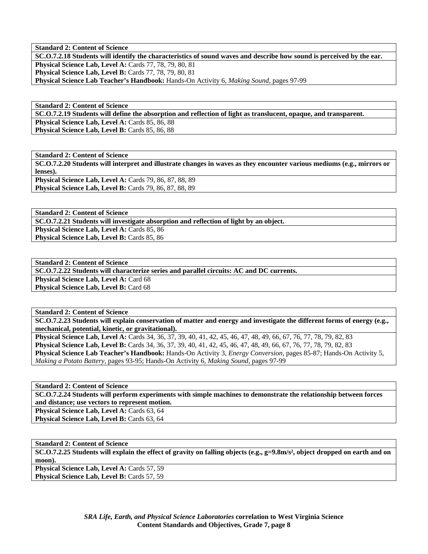**SC.O.7.2.18 Students will identify the characteristics of sound waves and describe how sound is perceived by the ear. Physical Science Lab, Level A: Cards 77, 78, 79, 80, 81 Physical Science Lab, Level B:** Cards 77, 78, 79, 80, 81 **Physical Science Lab Teacher's Handbook:** Hands-On Activity 6, *Making Sound,* pages 97-99

**Standard 2: Content of Science SC.O.7.2.19 Students will define the absorption and reflection of light as translucent, opaque, and transparent.**  Physical Science Lab, Level A: Cards 85, 86, 88 Physical Science Lab, Level B: Cards 85, 86, 88

**Standard 2: Content of Science SC.O.7.2.20 Students will interpret and illustrate changes in waves as they encounter various mediums (e.g., mirrors or lenses). Physical Science Lab, Level A: Cards 79, 86, 87, 88, 89 Physical Science Lab, Level B:** Cards 79, 86, 87, 88, 89

**Standard 2: Content of Science** 

**SC.O.7.2.21 Students will investigate absorption and reflection of light by an object.** 

Physical Science Lab, Level A: Cards 85, 86 Physical Science Lab, Level B: Cards 85, 86

**Standard 2: Content of Science SC.O.7.2.22 Students will characterize series and parallel circuits: AC and DC currents.**  Physical Science Lab, Level A: Card 68 Physical Science Lab, Level B: Card 68

**Standard 2: Content of Science SC.O.7.2.23 Students will explain conservation of matter and energy and investigate the different forms of energy (e.g., mechanical, potential, kinetic, or gravitational).** 

**Physical Science Lab, Level A:** Cards 34, 36, 37, 39, 40, 41, 42, 45, 46, 47, 48, 49, 66, 67, 76, 77, 78, 79, 82, 83 **Physical Science Lab, Level B:** Cards 34, 36, 37, 39, 40, 41, 42, 45, 46, 47, 48, 49, 66, 67, 76, 77, 78, 79, 82, 83 **Physical Science Lab Teacher's Handbook:** Hands-On Activity 3, *Energy Conversion,* pages 85-87; Hands-On Activity 5, *Making a Potato Battery,* pages 93-95; Hands-On Activity 6, *Making Sound,* pages 97-99

**Standard 2: Content of Science** 

**SC.O.7.2.24 Students will perform experiments with simple machines to demonstrate the relationship between forces and distance; use vectors to represent motion. Physical Science Lab, Level A: Cards 63, 64** 

Physical Science Lab, Level B: Cards 63, 64

**Standard 2: Content of Science** 

**SC.O.7.2.25 Students will explain the effect of gravity on falling objects (e.g., g=9.8m/s², object dropped on earth and on moon).** 

**Physical Science Lab, Level A: Cards 57, 59** Physical Science Lab, Level B: Cards 57, 59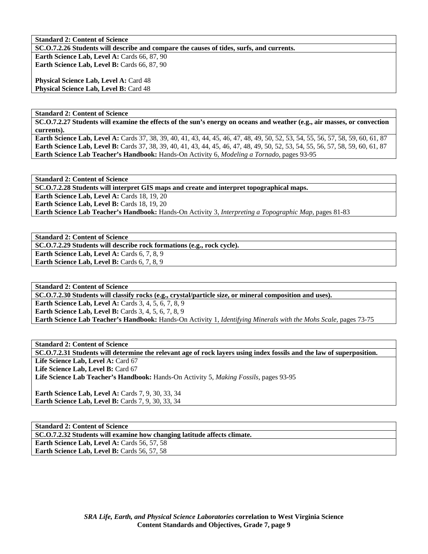**SC.O.7.2.26 Students will describe and compare the causes of tides, surfs, and currents.** 

**Earth Science Lab, Level A: Cards 66, 87, 90 Earth Science Lab, Level B:** Cards 66, 87, 90

**Physical Science Lab, Level A: Card 48 Physical Science Lab, Level B: Card 48** 

**Standard 2: Content of Science** 

**SC.O.7.2.27 Students will examine the effects of the sun's energy on oceans and weather (e.g., air masses, or convection currents).** 

**Earth Science Lab, Level A:** Cards 37, 38, 39, 40, 41, 43, 44, 45, 46, 47, 48, 49, 50, 52, 53, 54, 55, 56, 57, 58, 59, 60, 61, 87 **Earth Science Lab, Level B:** Cards 37, 38, 39, 40, 41, 43, 44, 45, 46, 47, 48, 49, 50, 52, 53, 54, 55, 56, 57, 58, 59, 60, 61, 87 **Earth Science Lab Teacher's Handbook:** Hands-On Activity 6, *Modeling a Tornado,* pages 93-95

**Standard 2: Content of Science** 

**SC.O.7.2.28 Students will interpret GIS maps and create and interpret topographical maps.** 

**Earth Science Lab, Level A: Cards 18, 19, 20** 

Earth Science Lab, Level B: Cards 18, 19, 20

**Earth Science Lab Teacher's Handbook:** Hands-On Activity 3, *Interpreting a Topographic Map,* pages 81-83

**Standard 2: Content of Science** 

**SC.O.7.2.29 Students will describe rock formations (e.g., rock cycle).** 

**Earth Science Lab, Level A: Cards 6, 7, 8, 9 Earth Science Lab, Level B:** Cards 6, 7, 8, 9

**Standard 2: Content of Science** 

**SC.O.7.2.30 Students will classify rocks (e.g., crystal/particle size, or mineral composition and uses).** 

**Earth Science Lab, Level A: Cards 3, 4, 5, 6, 7, 8, 9** 

**Earth Science Lab, Level B:** Cards 3, 4, 5, 6, 7, 8, 9

**Earth Science Lab Teacher's Handbook:** Hands-On Activity 1, *Identifying Minerals with the Mohs Scale,* pages 73-75

**Standard 2: Content of Science** 

**SC.O.7.2.31 Students will determine the relevant age of rock layers using index fossils and the law of superposition.**  Life Science Lab, Level A: Card 67 Life Science Lab, Level B: Card 67

**Life Science Lab Teacher's Handbook:** Hands-On Activity 5, *Making Fossils,* pages 93-95

**Earth Science Lab, Level A: Cards 7, 9, 30, 33, 34 Earth Science Lab, Level B: Cards 7, 9, 30, 33, 34** 

**Standard 2: Content of Science SC.O.7.2.32 Students will examine how changing latitude affects climate.**  Earth Science Lab, Level A: Cards 56, 57, 58 Earth Science Lab, Level B: Cards 56, 57, 58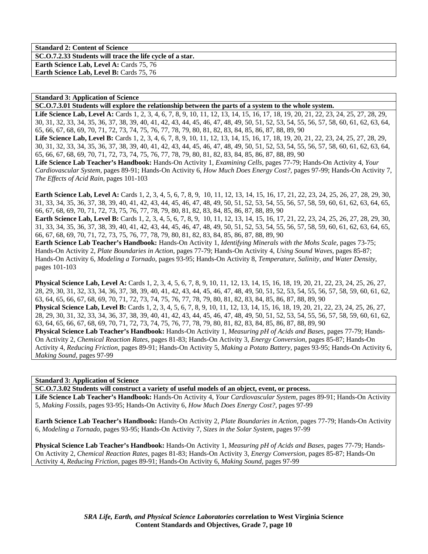**Standard 2: Content of Science SC.O.7.2.33 Students will trace the life cycle of a star. Earth Science Lab, Level A: Cards 75, 76** Earth Science Lab, Level B: Cards 75, 76

#### **Standard 3: Application of Science**

**SC.O.7.3.01 Students will explore the relationship between the parts of a system to the whole system.** 

Life Science Lab, Level A: Cards 1, 2, 3, 4, 6, 7, 8, 9, 10, 11, 12, 13, 14, 15, 16, 17, 18, 19, 20, 21, 22, 23, 24, 25, 27, 28, 29, 30, 31, 32, 33, 34, 35, 36, 37, 38, 39, 40, 41, 42, 43, 44, 45, 46, 47, 48, 49, 50, 51, 52, 53, 54, 55, 56, 57, 58, 60, 61, 62, 63, 64, 65, 66, 67, 68, 69, 70, 71, 72, 73, 74, 75, 76, 77, 78, 79, 80, 81, 82, 83, 84, 85, 86, 87, 88, 89, 90 Life Science Lab, Level B: Cards 1, 2, 3, 4, 6, 7, 8, 9, 10, 11, 12, 13, 14, 15, 16, 17, 18, 19, 20, 21, 22, 23, 24, 25, 27, 28, 29, 30, 31, 32, 33, 34, 35, 36, 37, 38, 39, 40, 41, 42, 43, 44, 45, 46, 47, 48, 49, 50, 51, 52, 53, 54, 55, 56, 57, 58, 60, 61, 62, 63, 64, 65, 66, 67, 68, 69, 70, 71, 72, 73, 74, 75, 76, 77, 78, 79, 80, 81, 82, 83, 84, 85, 86, 87, 88, 89, 90

**Life Science Lab Teacher's Handbook:** Hands-On Activity 1, *Examining Cells,* pages 77-79; Hands-On Activity 4, *Your Cardiovascular System,* pages 89-91; Hands-On Activity 6, *How Much Does Energy Cost?,* pages 97-99; Hands-On Activity 7, *The Effects of Acid Rain,* pages 101-103

**Earth Science Lab, Level A:** Cards 1, 2, 3, 4, 5, 6, 7, 8, 9, 10, 11, 12, 13, 14, 15, 16, 17, 21, 22, 23, 24, 25, 26, 27, 28, 29, 30, 31, 33, 34, 35, 36, 37, 38, 39, 40, 41, 42, 43, 44, 45, 46, 47, 48, 49, 50, 51, 52, 53, 54, 55, 56, 57, 58, 59, 60, 61, 62, 63, 64, 65, 66, 67, 68, 69, 70, 71, 72, 73, 75, 76, 77, 78, 79, 80, 81, 82, 83, 84, 85, 86, 87, 88, 89, 90

**Earth Science Lab, Level B:** Cards 1, 2, 3, 4, 5, 6, 7, 8, 9, 10, 11, 12, 13, 14, 15, 16, 17, 21, 22, 23, 24, 25, 26, 27, 28, 29, 30, 31, 33, 34, 35, 36, 37, 38, 39, 40, 41, 42, 43, 44, 45, 46, 47, 48, 49, 50, 51, 52, 53, 54, 55, 56, 57, 58, 59, 60, 61, 62, 63, 64, 65, 66, 67, 68, 69, 70, 71, 72, 73, 75, 76, 77, 78, 79, 80, 81, 82, 83, 84, 85, 86, 87, 88, 89, 90

**Earth Science Lab Teacher's Handbook:** Hands-On Activity 1, *Identifying Minerals with the Mohs Scale,* pages 73-75; Hands-On Activity 2, *Plate Boundaries in Action,* pages 77-79; Hands-On Activity 4, *Using Sound Waves,* pages 85-87; Hands-On Activity 6, *Modeling a Tornado,* pages 93-95; Hands-On Activity 8, *Temperature, Salinity, and Water Density,* pages 101-103

**Physical Science Lab, Level A:** Cards 1, 2, 3, 4, 5, 6, 7, 8, 9, 10, 11, 12, 13, 14, 15, 16, 18, 19, 20, 21, 22, 23, 24, 25, 26, 27, 28, 29, 30, 31, 32, 33, 34, 36, 37, 38, 39, 40, 41, 42, 43, 44, 45, 46, 47, 48, 49, 50, 51, 52, 53, 54, 55, 56, 57, 58, 59, 60, 61, 62, 63, 64, 65, 66, 67, 68, 69, 70, 71, 72, 73, 74, 75, 76, 77, 78, 79, 80, 81, 82, 83, 84, 85, 86, 87, 88, 89, 90 **Physical Science Lab, Level B:** Cards 1, 2, 3, 4, 5, 6, 7, 8, 9, 10, 11, 12, 13, 14, 15, 16, 18, 19, 20, 21, 22, 23, 24, 25, 26, 27, 28, 29, 30, 31, 32, 33, 34, 36, 37, 38, 39, 40, 41, 42, 43, 44, 45, 46, 47, 48, 49, 50, 51, 52, 53, 54, 55, 56, 57, 58, 59, 60, 61, 62, 63, 64, 65, 66, 67, 68, 69, 70, 71, 72, 73, 74, 75, 76, 77, 78, 79, 80, 81, 82, 83, 84, 85, 86, 87, 88, 89, 90 **Physical Science Lab Teacher's Handbook:** Hands-On Activity 1, *Measuring pH of Acids and Bases,* pages 77-79; Hands-On Activity 2, *Chemical Reaction Rates,* pages 81-83; Hands-On Activity 3, *Energy Conversion,* pages 85-87; Hands-On Activity 4, *Reducing Friction,* pages 89-91; Hands-On Activity 5, *Making a Potato Battery,* pages 93-95; Hands-On Activity 6, *Making Sound,* pages 97-99

#### **Standard 3: Application of Science**

**SC.O.7.3.02 Students will construct a variety of useful models of an object, event, or process.** 

**Life Science Lab Teacher's Handbook:** Hands-On Activity 4, *Your Cardiovascular System,* pages 89-91; Hands-On Activity 5, *Making Fossils,* pages 93-95; Hands-On Activity 6, *How Much Does Energy Cost?,* pages 97-99

**Earth Science Lab Teacher's Handbook:** Hands-On Activity 2, *Plate Boundaries in Action,* pages 77-79; Hands-On Activity 6, *Modeling a Tornado,* pages 93-95; Hands-On Activity 7, *Sizes in the Solar System,* pages 97-99

**Physical Science Lab Teacher's Handbook:** Hands-On Activity 1, *Measuring pH of Acids and Bases,* pages 77-79; Hands-On Activity 2, *Chemical Reaction Rates,* pages 81-83; Hands-On Activity 3, *Energy Conversion,* pages 85-87; Hands-On Activity 4, *Reducing Friction,* pages 89-91; Hands-On Activity 6, *Making Sound,* pages 97-99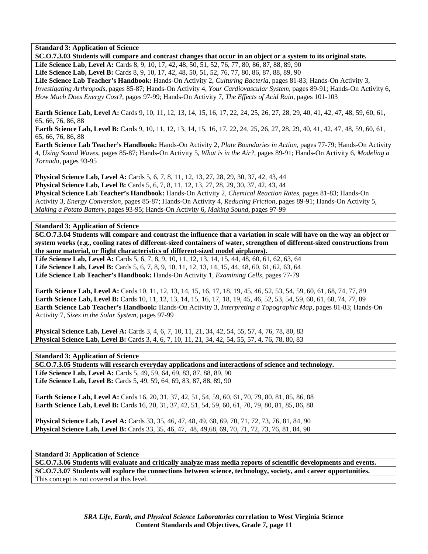**Standard 3: Application of Science** 

**SC.O.7.3.03 Students will compare and contrast changes that occur in an object or a system to its original state. Life Science Lab, Level A:** Cards 8, 9, 10, 17, 42, 48, 50, 51, 52, 76, 77, 80, 86, 87, 88, 89, 90 **Life Science Lab, Level B:** Cards 8, 9, 10, 17, 42, 48, 50, 51, 52, 76, 77, 80, 86, 87, 88, 89, 90 **Life Science Lab Teacher's Handbook:** Hands-On Activity 2, *Culturing Bacteria,* pages 81-83; Hands-On Activity 3, *Investigating Arthropods,* pages 85-87; Hands-On Activity 4, *Your Cardiovascular System,* pages 89-91; Hands-On Activity 6, *How Much Does Energy Cost?,* pages 97-99; Hands-On Activity 7, *The Effects of Acid Rain,* pages 101-103

**Earth Science Lab, Level A:** Cards 9, 10, 11, 12, 13, 14, 15, 16, 17, 22, 24, 25, 26, 27, 28, 29, 40, 41, 42, 47, 48, 59, 60, 61, 65, 66, 76, 86, 88

**Earth Science Lab, Level B:** Cards 9, 10, 11, 12, 13, 14, 15, 16, 17, 22, 24, 25, 26, 27, 28, 29, 40, 41, 42, 47, 48, 59, 60, 61, 65, 66, 76, 86, 88

**Earth Science Lab Teacher's Handbook:** Hands-On Activity 2, *Plate Boundaries in Action,* pages 77-79; Hands-On Activity 4, *Using Sound Waves,* pages 85-87; Hands-On Activity 5, *What is in the Air?,* pages 89-91; Hands-On Activity 6, *Modeling a Tornado,* pages 93-95

**Physical Science Lab, Level A:** Cards 5, 6, 7, 8, 11, 12, 13, 27, 28, 29, 30, 37, 42, 43, 44 **Physical Science Lab, Level B:** Cards 5, 6, 7, 8, 11, 12, 13, 27, 28, 29, 30, 37, 42, 43, 44 **Physical Science Lab Teacher's Handbook:** Hands-On Activity 2, *Chemical Reaction Rates,* pages 81-83; Hands-On

Activity 3, *Energy Conversion,* pages 85-87; Hands-On Activity 4, *Reducing Friction,* pages 89-91; Hands-On Activity 5, *Making a Potato Battery,* pages 93-95; Hands-On Activity 6, *Making Sound,* pages 97-99

**Standard 3: Application of Science** 

**SC.O.7.3.04 Students will compare and contrast the influence that a variation in scale will have on the way an object or system works (e.g., cooling rates of different-sized containers of water, strengthen of different-sized constructions from the same material, or flight characteristics of different-sized model airplanes).** 

Life Science Lab, Level A: Cards 5, 6, 7, 8, 9, 10, 11, 12, 13, 14, 15, 44, 48, 60, 61, 62, 63, 64 **Life Science Lab, Level B:** Cards 5, 6, 7, 8, 9, 10, 11, 12, 13, 14, 15, 44, 48, 60, 61, 62, 63, 64 **Life Science Lab Teacher's Handbook:** Hands-On Activity 1, *Examining Cells,* pages 77-79

**Earth Science Lab, Level A:** Cards 10, 11, 12, 13, 14, 15, 16, 17, 18, 19, 45, 46, 52, 53, 54, 59, 60, 61, 68, 74, 77, 89 **Earth Science Lab, Level B:** Cards 10, 11, 12, 13, 14, 15, 16, 17, 18, 19, 45, 46, 52, 53, 54, 59, 60, 61, 68, 74, 77, 89 **Earth Science Lab Teacher's Handbook:** Hands-On Activity 3, *Interpreting a Topographic Map,* pages 81-83; Hands-On Activity 7, *Sizes in the Solar System,* pages 97-99

**Physical Science Lab, Level A:** Cards 3, 4, 6, 7, 10, 11, 21, 34, 42, 54, 55, 57, 4, 76, 78, 80, 83 **Physical Science Lab, Level B:** Cards 3, 4, 6, 7, 10, 11, 21, 34, 42, 54, 55, 57, 4, 76, 78, 80, 83

**Standard 3: Application of Science** 

**SC.O.7.3.05 Students will research everyday applications and interactions of science and technology. Life Science Lab, Level A:** Cards 5, 49, 59, 64, 69, 83, 87, 88, 89, 90 Life Science Lab, Level B: Cards 5, 49, 59, 64, 69, 83, 87, 88, 89, 90

**Earth Science Lab, Level A:** Cards 16, 20, 31, 37, 42, 51, 54, 59, 60, 61, 70, 79, 80, 81, 85, 86, 88 **Earth Science Lab, Level B:** Cards 16, 20, 31, 37, 42, 51, 54, 59, 60, 61, 70, 79, 80, 81, 85, 86, 88

**Physical Science Lab, Level A:** Cards 33, 35, 46, 47, 48, 49, 68, 69, 70, 71, 72, 73, 76, 81, 84, 90 **Physical Science Lab, Level B:** Cards 33, 35, 46, 47, 48, 49,68, 69, 70, 71, 72, 73, 76, 81, 84, 90

**Standard 3: Application of Science** 

**SC.O.7.3.06 Students will evaluate and critically analyze mass media reports of scientific developments and events. SC.O.7.3.07 Students will explore the connections between science, technology, society, and career opportunities.**  This concept is not covered at this level.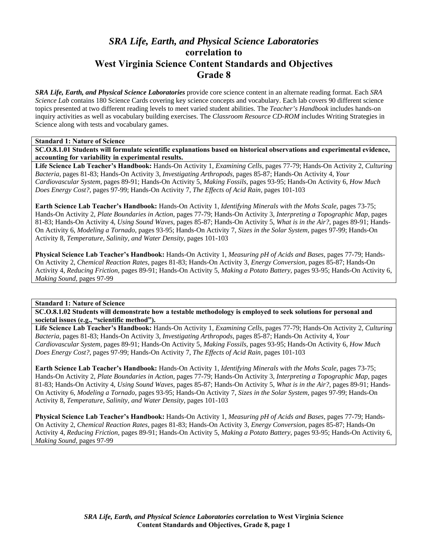# *SRA Life, Earth, and Physical Science Laboratories*  **correlation to West Virginia Science Content Standards and Objectives Grade 8**

*SRA Life, Earth, and Physical Science Laboratories* provide core science content in an alternate reading format. Each *SRA Science Lab* contains 180 Science Cards covering key science concepts and vocabulary. Each lab covers 90 different science topics presented at two different reading levels to meet varied student abilities. The *Teacher's Handbook* includes hands-on inquiry activities as well as vocabulary building exercises. The *Classroom Resource CD-ROM* includes Writing Strategies in Science along with tests and vocabulary games.

#### **Standard 1: Nature of Science**

**SC.O.8.1.01 Students will formulate scientific explanations based on historical observations and experimental evidence, accounting for variability in experimental results.** 

**Life Science Lab Teacher's Handbook:** Hands-On Activity 1, *Examining Cells,* pages 77-79; Hands-On Activity 2, *Culturing Bacteria,* pages 81-83; Hands-On Activity 3, *Investigating Arthropods,* pages 85-87; Hands-On Activity 4, *Your Cardiovascular System,* pages 89-91; Hands-On Activity 5, *Making Fossils,* pages 93-95; Hands-On Activity 6, *How Much Does Energy Cost?,* pages 97-99; Hands-On Activity 7, *The Effects of Acid Rain,* pages 101-103

**Earth Science Lab Teacher's Handbook:** Hands-On Activity 1, *Identifying Minerals with the Mohs Scale,* pages 73-75; Hands-On Activity 2, *Plate Boundaries in Action,* pages 77-79; Hands-On Activity 3, *Interpreting a Topographic Map,* pages 81-83; Hands-On Activity 4, *Using Sound Waves,* pages 85-87; Hands-On Activity 5, *What is in the Air?,* pages 89-91; Hands-On Activity 6, *Modeling a Tornado,* pages 93-95; Hands-On Activity 7, *Sizes in the Solar System,* pages 97-99; Hands-On Activity 8, *Temperature, Salinity, and Water Density,* pages 101-103

**Physical Science Lab Teacher's Handbook:** Hands-On Activity 1, *Measuring pH of Acids and Bases,* pages 77-79; Hands-On Activity 2, *Chemical Reaction Rates,* pages 81-83; Hands-On Activity 3, *Energy Conversion,* pages 85-87; Hands-On Activity 4, *Reducing Friction,* pages 89-91; Hands-On Activity 5, *Making a Potato Battery,* pages 93-95; Hands-On Activity 6, *Making Sound,* pages 97-99

## **Standard 1: Nature of Science**

**SC.O.8.1.02 Students will demonstrate how a testable methodology is employed to seek solutions for personal and societal issues (e.g., "scientific method").** 

**Life Science Lab Teacher's Handbook:** Hands-On Activity 1, *Examining Cells,* pages 77-79; Hands-On Activity 2, *Culturing Bacteria,* pages 81-83; Hands-On Activity 3, *Investigating Arthropods,* pages 85-87; Hands-On Activity 4, *Your Cardiovascular System,* pages 89-91; Hands-On Activity 5, *Making Fossils,* pages 93-95; Hands-On Activity 6, *How Much Does Energy Cost?,* pages 97-99; Hands-On Activity 7, *The Effects of Acid Rain,* pages 101-103

**Earth Science Lab Teacher's Handbook:** Hands-On Activity 1, *Identifying Minerals with the Mohs Scale,* pages 73-75; Hands-On Activity 2, *Plate Boundaries in Action,* pages 77-79; Hands-On Activity 3, *Interpreting a Topographic Map,* pages 81-83; Hands-On Activity 4, *Using Sound Waves,* pages 85-87; Hands-On Activity 5, *What is in the Air?,* pages 89-91; Hands-On Activity 6, *Modeling a Tornado,* pages 93-95; Hands-On Activity 7, *Sizes in the Solar System,* pages 97-99; Hands-On Activity 8, *Temperature, Salinity, and Water Density,* pages 101-103

**Physical Science Lab Teacher's Handbook:** Hands-On Activity 1, *Measuring pH of Acids and Bases,* pages 77-79; Hands-On Activity 2, *Chemical Reaction Rates,* pages 81-83; Hands-On Activity 3, *Energy Conversion,* pages 85-87; Hands-On Activity 4, *Reducing Friction,* pages 89-91; Hands-On Activity 5, *Making a Potato Battery,* pages 93-95; Hands-On Activity 6, *Making Sound,* pages 97-99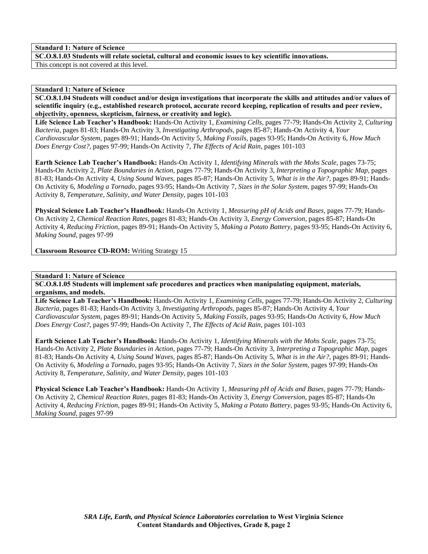**SC.O.8.1.03 Students will relate societal, cultural and economic issues to key scientific innovations.**  This concept is not covered at this level.

#### **Standard 1: Nature of Science**

**SC.O.8.1.04 Students will conduct and/or design investigations that incorporate the skills and attitudes and/or values of scientific inquiry (e.g., established research protocol, accurate record keeping, replication of results and peer review, objectivity, openness, skepticism, fairness, or creativity and logic).** 

**Life Science Lab Teacher's Handbook:** Hands-On Activity 1, *Examining Cells,* pages 77-79; Hands-On Activity 2, *Culturing Bacteria,* pages 81-83; Hands-On Activity 3, *Investigating Arthropods,* pages 85-87; Hands-On Activity 4, *Your Cardiovascular System,* pages 89-91; Hands-On Activity 5, *Making Fossils,* pages 93-95; Hands-On Activity 6, *How Much Does Energy Cost?,* pages 97-99; Hands-On Activity 7, *The Effects of Acid Rain,* pages 101-103

**Earth Science Lab Teacher's Handbook:** Hands-On Activity 1, *Identifying Minerals with the Mohs Scale,* pages 73-75; Hands-On Activity 2, *Plate Boundaries in Action,* pages 77-79; Hands-On Activity 3, *Interpreting a Topographic Map,* pages 81-83; Hands-On Activity 4, *Using Sound Waves,* pages 85-87; Hands-On Activity 5, *What is in the Air?,* pages 89-91; Hands-On Activity 6, *Modeling a Tornado,* pages 93-95; Hands-On Activity 7, *Sizes in the Solar System,* pages 97-99; Hands-On Activity 8, *Temperature, Salinity, and Water Density,* pages 101-103

**Physical Science Lab Teacher's Handbook:** Hands-On Activity 1, *Measuring pH of Acids and Bases,* pages 77-79; Hands-On Activity 2, *Chemical Reaction Rates,* pages 81-83; Hands-On Activity 3, *Energy Conversion,* pages 85-87; Hands-On Activity 4, *Reducing Friction,* pages 89-91; Hands-On Activity 5, *Making a Potato Battery,* pages 93-95; Hands-On Activity 6, *Making Sound,* pages 97-99

**Classroom Resource CD-ROM:** Writing Strategy 15

**Standard 1: Nature of Science** 

**SC.O.8.1.05 Students will implement safe procedures and practices when manipulating equipment, materials, organisms, and models.** 

**Life Science Lab Teacher's Handbook:** Hands-On Activity 1, *Examining Cells,* pages 77-79; Hands-On Activity 2, *Culturing Bacteria,* pages 81-83; Hands-On Activity 3, *Investigating Arthropods,* pages 85-87; Hands-On Activity 4, *Your Cardiovascular System,* pages 89-91; Hands-On Activity 5, *Making Fossils,* pages 93-95; Hands-On Activity 6, *How Much Does Energy Cost?,* pages 97-99; Hands-On Activity 7, *The Effects of Acid Rain,* pages 101-103

**Earth Science Lab Teacher's Handbook:** Hands-On Activity 1, *Identifying Minerals with the Mohs Scale,* pages 73-75; Hands-On Activity 2, *Plate Boundaries in Action,* pages 77-79; Hands-On Activity 3, *Interpreting a Topographic Map,* pages 81-83; Hands-On Activity 4, *Using Sound Waves,* pages 85-87; Hands-On Activity 5, *What is in the Air?,* pages 89-91; Hands-On Activity 6, *Modeling a Tornado,* pages 93-95; Hands-On Activity 7, *Sizes in the Solar System,* pages 97-99; Hands-On Activity 8, *Temperature, Salinity, and Water Density,* pages 101-103

**Physical Science Lab Teacher's Handbook:** Hands-On Activity 1, *Measuring pH of Acids and Bases,* pages 77-79; Hands-On Activity 2, *Chemical Reaction Rates,* pages 81-83; Hands-On Activity 3, *Energy Conversion,* pages 85-87; Hands-On Activity 4, *Reducing Friction,* pages 89-91; Hands-On Activity 5, *Making a Potato Battery,* pages 93-95; Hands-On Activity 6, *Making Sound,* pages 97-99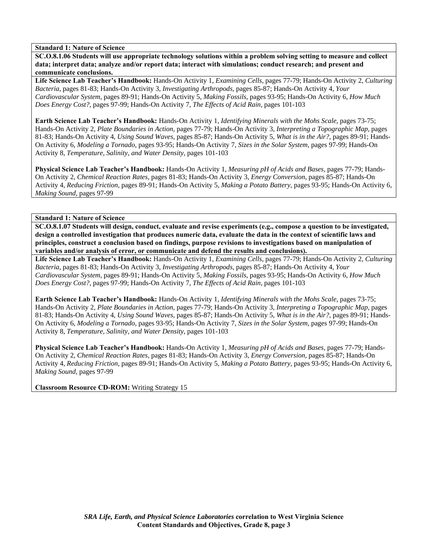**SC.O.8.1.06 Students will use appropriate technology solutions within a problem solving setting to measure and collect data; interpret data; analyze and/or report data; interact with simulations; conduct research; and present and communicate conclusions.** 

**Life Science Lab Teacher's Handbook:** Hands-On Activity 1, *Examining Cells,* pages 77-79; Hands-On Activity 2, *Culturing Bacteria,* pages 81-83; Hands-On Activity 3, *Investigating Arthropods,* pages 85-87; Hands-On Activity 4, *Your Cardiovascular System,* pages 89-91; Hands-On Activity 5, *Making Fossils,* pages 93-95; Hands-On Activity 6, *How Much Does Energy Cost?,* pages 97-99; Hands-On Activity 7, *The Effects of Acid Rain,* pages 101-103

**Earth Science Lab Teacher's Handbook:** Hands-On Activity 1, *Identifying Minerals with the Mohs Scale,* pages 73-75; Hands-On Activity 2, *Plate Boundaries in Action,* pages 77-79; Hands-On Activity 3, *Interpreting a Topographic Map,* pages 81-83; Hands-On Activity 4, *Using Sound Waves,* pages 85-87; Hands-On Activity 5, *What is in the Air?,* pages 89-91; Hands-On Activity 6, *Modeling a Tornado,* pages 93-95; Hands-On Activity 7, *Sizes in the Solar System,* pages 97-99; Hands-On Activity 8, *Temperature, Salinity, and Water Density,* pages 101-103

**Physical Science Lab Teacher's Handbook:** Hands-On Activity 1, *Measuring pH of Acids and Bases,* pages 77-79; Hands-On Activity 2, *Chemical Reaction Rates,* pages 81-83; Hands-On Activity 3, *Energy Conversion,* pages 85-87; Hands-On Activity 4, *Reducing Friction,* pages 89-91; Hands-On Activity 5, *Making a Potato Battery,* pages 93-95; Hands-On Activity 6, *Making Sound,* pages 97-99

**Standard 1: Nature of Science** 

**SC.O.8.1.07 Students will design, conduct, evaluate and revise experiments (e.g., compose a question to be investigated, design a controlled investigation that produces numeric data, evaluate the data in the context of scientific laws and principles, construct a conclusion based on findings, purpose revisions to investigations based on manipulation of variables and/or analysis of error, or communicate and defend the results and conclusions).** 

**Life Science Lab Teacher's Handbook:** Hands-On Activity 1, *Examining Cells,* pages 77-79; Hands-On Activity 2, *Culturing Bacteria,* pages 81-83; Hands-On Activity 3, *Investigating Arthropods,* pages 85-87; Hands-On Activity 4, *Your Cardiovascular System,* pages 89-91; Hands-On Activity 5, *Making Fossils,* pages 93-95; Hands-On Activity 6, *How Much Does Energy Cost?,* pages 97-99; Hands-On Activity 7, *The Effects of Acid Rain,* pages 101-103

**Earth Science Lab Teacher's Handbook:** Hands-On Activity 1, *Identifying Minerals with the Mohs Scale,* pages 73-75; Hands-On Activity 2, *Plate Boundaries in Action,* pages 77-79; Hands-On Activity 3, *Interpreting a Topographic Map,* pages 81-83; Hands-On Activity 4, *Using Sound Waves,* pages 85-87; Hands-On Activity 5, *What is in the Air?,* pages 89-91; Hands-On Activity 6, *Modeling a Tornado,* pages 93-95; Hands-On Activity 7, *Sizes in the Solar System,* pages 97-99; Hands-On Activity 8, *Temperature, Salinity, and Water Density,* pages 101-103

**Physical Science Lab Teacher's Handbook:** Hands-On Activity 1, *Measuring pH of Acids and Bases,* pages 77-79; Hands-On Activity 2, *Chemical Reaction Rates,* pages 81-83; Hands-On Activity 3, *Energy Conversion,* pages 85-87; Hands-On Activity 4, *Reducing Friction,* pages 89-91; Hands-On Activity 5, *Making a Potato Battery,* pages 93-95; Hands-On Activity 6, *Making Sound,* pages 97-99

**Classroom Resource CD-ROM:** Writing Strategy 15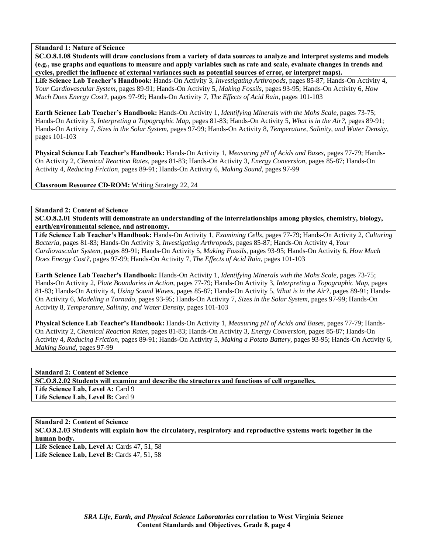**SC.O.8.1.08 Students will draw conclusions from a variety of data sources to analyze and interpret systems and models (e.g., use graphs and equations to measure and apply variables such as rate and scale, evaluate changes in trends and cycles, predict the influence of external variances such as potential sources of error, or interpret maps).** 

**Life Science Lab Teacher's Handbook:** Hands-On Activity 3, *Investigating Arthropods,* pages 85-87; Hands-On Activity 4, *Your Cardiovascular System,* pages 89-91; Hands-On Activity 5, *Making Fossils,* pages 93-95; Hands-On Activity 6, *How Much Does Energy Cost?,* pages 97-99; Hands-On Activity 7, *The Effects of Acid Rain,* pages 101-103

**Earth Science Lab Teacher's Handbook:** Hands-On Activity 1, *Identifying Minerals with the Mohs Scale,* pages 73-75; Hands-On Activity 3, *Interpreting a Topographic Map,* pages 81-83; Hands-On Activity 5, *What is in the Air?,* pages 89-91; Hands-On Activity 7, *Sizes in the Solar System,* pages 97-99; Hands-On Activity 8, *Temperature, Salinity, and Water Density,* pages 101-103

**Physical Science Lab Teacher's Handbook:** Hands-On Activity 1, *Measuring pH of Acids and Bases,* pages 77-79; Hands-On Activity 2, *Chemical Reaction Rates,* pages 81-83; Hands-On Activity 3, *Energy Conversion,* pages 85-87; Hands-On Activity 4, *Reducing Friction,* pages 89-91; Hands-On Activity 6, *Making Sound,* pages 97-99

**Classroom Resource CD-ROM:** Writing Strategy 22, 24

**Standard 2: Content of Science** 

**SC.O.8.2.01 Students will demonstrate an understanding of the interrelationships among physics, chemistry, biology, earth/environmental science, and astronomy.** 

**Life Science Lab Teacher's Handbook:** Hands-On Activity 1, *Examining Cells,* pages 77-79; Hands-On Activity 2, *Culturing Bacteria,* pages 81-83; Hands-On Activity 3, *Investigating Arthropods,* pages 85-87; Hands-On Activity 4, *Your Cardiovascular System,* pages 89-91; Hands-On Activity 5, *Making Fossils,* pages 93-95; Hands-On Activity 6, *How Much Does Energy Cost?,* pages 97-99; Hands-On Activity 7, *The Effects of Acid Rain,* pages 101-103

**Earth Science Lab Teacher's Handbook:** Hands-On Activity 1, *Identifying Minerals with the Mohs Scale,* pages 73-75; Hands-On Activity 2, *Plate Boundaries in Action,* pages 77-79; Hands-On Activity 3, *Interpreting a Topographic Map,* pages 81-83; Hands-On Activity 4, *Using Sound Waves,* pages 85-87; Hands-On Activity 5, *What is in the Air?,* pages 89-91; Hands-On Activity 6, *Modeling a Tornado,* pages 93-95; Hands-On Activity 7, *Sizes in the Solar System,* pages 97-99; Hands-On Activity 8, *Temperature, Salinity, and Water Density,* pages 101-103

**Physical Science Lab Teacher's Handbook:** Hands-On Activity 1, *Measuring pH of Acids and Bases,* pages 77-79; Hands-On Activity 2, *Chemical Reaction Rates,* pages 81-83; Hands-On Activity 3, *Energy Conversion,* pages 85-87; Hands-On Activity 4, *Reducing Friction,* pages 89-91; Hands-On Activity 5, *Making a Potato Battery,* pages 93-95; Hands-On Activity 6, *Making Sound,* pages 97-99

**Standard 2: Content of Science SC.O.8.2.02 Students will examine and describe the structures and functions of cell organelles.**  Life Science Lab, Level A: Card 9 Life Science Lab, Level B: Card 9

**Standard 2: Content of Science SC.O.8.2.03 Students will explain how the circulatory, respiratory and reproductive systems work together in the human body. Life Science Lab, Level A:** Cards 47, 51, 58 **Life Science Lab, Level B:** Cards 47, 51, 58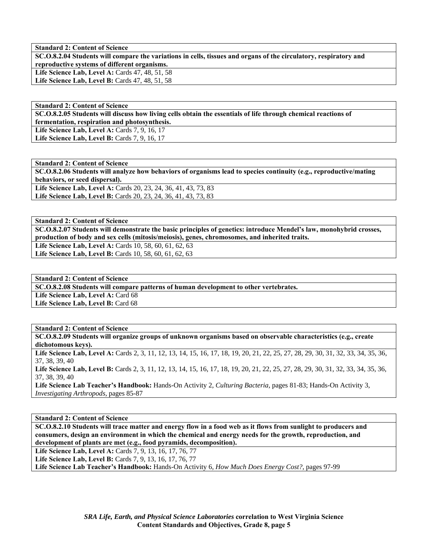**SC.O.8.2.04 Students will compare the variations in cells, tissues and organs of the circulatory, respiratory and reproductive systems of different organisms.**  Life Science Lab, Level A: Cards 47, 48, 51, 58

**Life Science Lab, Level B:** Cards 47, 48, 51, 58

**Standard 2: Content of Science SC.O.8.2.05 Students will discuss how living cells obtain the essentials of life through chemical reactions of fermentation, respiration and photosynthesis.**  Life Science Lab, Level A: Cards 7, 9, 16, 17

Life Science Lab, Level B: Cards 7, 9, 16, 17

**Standard 2: Content of Science SC.O.8.2.06 Students will analyze how behaviors of organisms lead to species continuity (e.g., reproductive/mating behaviors, or seed dispersal). Life Science Lab, Level A:** Cards 20, 23, 24, 36, 41, 43, 73, 83 **Life Science Lab, Level B:** Cards 20, 23, 24, 36, 41, 43, 73, 83

**Standard 2: Content of Science SC.O.8.2.07 Students will demonstrate the basic principles of genetics: introduce Mendel's law, monohybrid crosses, production of body and sex cells (mitosis/meiosis), genes, chromosomes, and inherited traits.**  Life Science Lab, Level A: Cards 10, 58, 60, 61, 62, 63 Life Science Lab, Level B: Cards 10, 58, 60, 61, 62, 63

**Standard 2: Content of Science SC.O.8.2.08 Students will compare patterns of human development to other vertebrates.**  Life Science Lab, Level A: Card 68 Life Science Lab, Level B: Card 68

**Standard 2: Content of Science** 

**SC.O.8.2.09 Students will organize groups of unknown organisms based on observable characteristics (e.g., create dichotomous keys).** 

Life Science Lab, Level A: Cards 2, 3, 11, 12, 13, 14, 15, 16, 17, 18, 19, 20, 21, 22, 25, 27, 28, 29, 30, 31, 32, 33, 34, 35, 36, 37, 38, 39, 40

Life Science Lab, Level B: Cards 2, 3, 11, 12, 13, 14, 15, 16, 17, 18, 19, 20, 21, 22, 25, 27, 28, 29, 30, 31, 32, 33, 34, 35, 36, 37, 38, 39, 40

**Life Science Lab Teacher's Handbook:** Hands-On Activity 2, *Culturing Bacteria,* pages 81-83; Hands-On Activity 3, *Investigating Arthropods,* pages 85-87

**Standard 2: Content of Science** 

**SC.O.8.2.10 Students will trace matter and energy flow in a food web as it flows from sunlight to producers and consumers, design an environment in which the chemical and energy needs for the growth, reproduction, and development of plants are met (e.g., food pyramids, decomposition).** 

**Life Science Lab, Level A:** Cards 7, 9, 13, 16, 17, 76, 77 **Life Science Lab, Level B:** Cards 7, 9, 13, 16, 17, 76, 77 **Life Science Lab Teacher's Handbook:** Hands-On Activity 6, *How Much Does Energy Cost?,* pages 97-99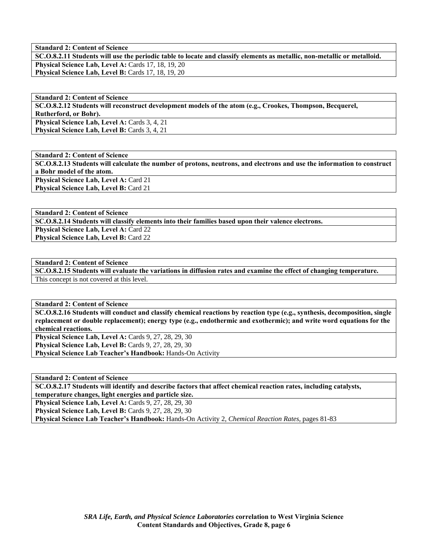**SC.O.8.2.11 Students will use the periodic table to locate and classify elements as metallic, non-metallic or metalloid. Physical Science Lab, Level A: Cards 17, 18, 19, 20** Physical Science Lab, Level B: Cards 17, 18, 19, 20

**Standard 2: Content of Science SC.O.8.2.12 Students will reconstruct development models of the atom (e.g., Crookes, Thompson, Becquerel, Rutherford, or Bohr).**  Physical Science Lab, Level A: Cards 3, 4, 21 Physical Science Lab, Level B: Cards 3, 4, 21

**Standard 2: Content of Science SC.O.8.2.13 Students will calculate the number of protons, neutrons, and electrons and use the information to construct a Bohr model of the atom.**  Physical Science Lab, Level A: Card 21 Physical Science Lab, Level B: Card 21

**Standard 2: Content of Science** 

**SC.O.8.2.14 Students will classify elements into their families based upon their valence electrons. Physical Science Lab, Level A: Card 22 Physical Science Lab, Level B: Card 22** 

**Standard 2: Content of Science** 

**SC.O.8.2.15 Students will evaluate the variations in diffusion rates and examine the effect of changing temperature.**  This concept is not covered at this level.

**Standard 2: Content of Science** 

**SC.O.8.2.16 Students will conduct and classify chemical reactions by reaction type (e.g., synthesis, decomposition, single replacement or double replacement); energy type (e.g., endothermic and exothermic); and write word equations for the chemical reactions.** 

**Physical Science Lab, Level A: Cards 9, 27, 28, 29, 30 Physical Science Lab, Level B: Cards 9, 27, 28, 29, 30** 

**Physical Science Lab Teacher's Handbook:** Hands-On Activity

**Standard 2: Content of Science** 

**SC.O.8.2.17 Students will identify and describe factors that affect chemical reaction rates, including catalysts, temperature changes, light energies and particle size.** 

**Physical Science Lab, Level A: Cards 9, 27, 28, 29, 30 Physical Science Lab, Level B: Cards 9, 27, 28, 29, 30 Physical Science Lab Teacher's Handbook:** Hands-On Activity 2, *Chemical Reaction Rates,* pages 81-83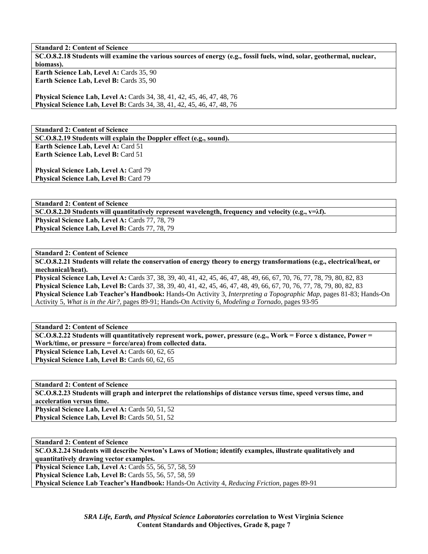**Standard 2: Content of Science SC.O.8.2.18 Students will examine the various sources of energy (e.g., fossil fuels, wind, solar, geothermal, nuclear, biomass). Earth Science Lab, Level A: Cards 35, 90 Earth Science Lab, Level B: Cards 35, 90** 

**Physical Science Lab, Level A:** Cards 34, 38, 41, 42, 45, 46, 47, 48, 76 **Physical Science Lab, Level B:** Cards 34, 38, 41, 42, 45, 46, 47, 48, 76

**Standard 2: Content of Science SC.O.8.2.19 Students will explain the Doppler effect (e.g., sound). Earth Science Lab, Level A: Card 51 Earth Science Lab, Level B: Card 51** 

**Physical Science Lab, Level A: Card 79** Physical Science Lab, Level B: Card 79

**Standard 2: Content of Science SC.O.8.2.20 Students will quantitatively represent wavelength, frequency and velocity (e.g., v=λf).**  Physical Science Lab, Level A: Cards 77, 78, 79 Physical Science Lab, Level B: Cards 77, 78, 79

**Standard 2: Content of Science** 

**SC.O.8.2.21 Students will relate the conservation of energy theory to energy transformations (e.g., electrical/heat, or mechanical/heat).** 

**Physical Science Lab, Level A:** Cards 37, 38, 39, 40, 41, 42, 45, 46, 47, 48, 49, 66, 67, 70, 76, 77, 78, 79, 80, 82, 83 **Physical Science Lab, Level B:** Cards 37, 38, 39, 40, 41, 42, 45, 46, 47, 48, 49, 66, 67, 70, 76, 77, 78, 79, 80, 82, 83 **Physical Science Lab Teacher's Handbook:** Hands-On Activity 3, *Interpreting a Topographic Map,* pages 81-83; Hands-On Activity 5, *What is in the Air?,* pages 89-91; Hands-On Activity 6, *Modeling a Tornado,* pages 93-95

**Standard 2: Content of Science SC.O.8.2.22 Students will quantitatively represent work, power, pressure (e.g., Work = Force x distance, Power = Work/time, or pressure = force/area) from collected data.**  Physical Science Lab, Level A: Cards 60, 62, 65 Physical Science Lab, Level B: Cards 60, 62, 65

**Standard 2: Content of Science SC.O.8.2.23 Students will graph and interpret the relationships of distance versus time, speed versus time, and acceleration versus time.**  Physical Science Lab, Level A: Cards 50, 51, 52 **Physical Science Lab, Level B: Cards 50, 51, 52** 

**Standard 2: Content of Science** 

**SC.O.8.2.24 Students will describe Newton's Laws of Motion; identify examples, illustrate qualitatively and quantitatively drawing vector examples. Physical Science Lab, Level A:** Cards 55, 56, 57, 58, 59

**Physical Science Lab, Level B:** Cards 55, 56, 57, 58, 59

**Physical Science Lab Teacher's Handbook:** Hands-On Activity 4, *Reducing Friction,* pages 89-91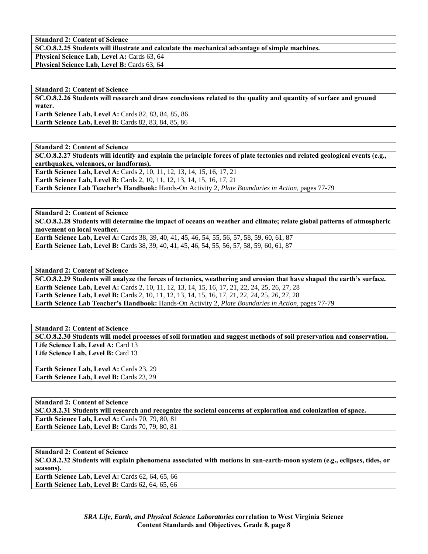**SC.O.8.2.25 Students will illustrate and calculate the mechanical advantage of simple machines.** 

Physical Science Lab, Level A: Cards 63, 64 **Physical Science Lab, Level B: Cards 63, 64** 

**Standard 2: Content of Science SC.O.8.2.26 Students will research and draw conclusions related to the quality and quantity of surface and ground water. Earth Science Lab, Level A: Cards 82, 83, 84, 85, 86** 

**Earth Science Lab, Level B: Cards 82, 83, 84, 85, 86** 

**Standard 2: Content of Science** 

**SC.O.8.2.27 Students will identify and explain the principle forces of plate tectonics and related geological events (e.g., earthquakes, volcanoes, or landforms).** 

**Earth Science Lab, Level A: Cards 2, 10, 11, 12, 13, 14, 15, 16, 17, 21 Earth Science Lab, Level B:** Cards 2, 10, 11, 12, 13, 14, 15, 16, 17, 21 **Earth Science Lab Teacher's Handbook:** Hands-On Activity 2, *Plate Boundaries in Action,* pages 77-79

**Standard 2: Content of Science** 

**SC.O.8.2.28 Students will determine the impact of oceans on weather and climate; relate global patterns of atmospheric movement on local weather.** 

**Earth Science Lab, Level A:** Cards 38, 39, 40, 41, 45, 46, 54, 55, 56, 57, 58, 59, 60, 61, 87 **Earth Science Lab, Level B:** Cards 38, 39, 40, 41, 45, 46, 54, 55, 56, 57, 58, 59, 60, 61, 87

**Standard 2: Content of Science** 

**SC.O.8.2.29 Students will analyze the forces of tectonics, weathering and erosion that have shaped the earth's surface. Earth Science Lab, Level A:** Cards 2, 10, 11, 12, 13, 14, 15, 16, 17, 21, 22, 24, 25, 26, 27, 28 **Earth Science Lab, Level B:** Cards 2, 10, 11, 12, 13, 14, 15, 16, 17, 21, 22, 24, 25, 26, 27, 28 **Earth Science Lab Teacher's Handbook:** Hands-On Activity 2, *Plate Boundaries in Action,* pages 77-79

**Standard 2: Content of Science** 

**SC.O.8.2.30 Students will model processes of soil formation and suggest methods of soil preservation and conservation.**  Life Science Lab, Level A: Card 13 Life Science Lab, Level B: Card 13

Earth Science Lab, Level A: Cards 23, 29 Earth Science Lab, Level B: Cards 23, 29

#### **Standard 2: Content of Science**

**SC.O.8.2.31 Students will research and recognize the societal concerns of exploration and colonization of space. Earth Science Lab, Level A:** Cards 70, 79, 80, 81 **Earth Science Lab, Level B: Cards 70, 79, 80, 81** 

#### **Standard 2: Content of Science**

**SC.O.8.2.32 Students will explain phenomena associated with motions in sun-earth-moon system (e.g., eclipses, tides, or seasons).** 

**Earth Science Lab, Level A:** Cards 62, 64, 65, 66 **Earth Science Lab, Level B: Cards 62, 64, 65, 66**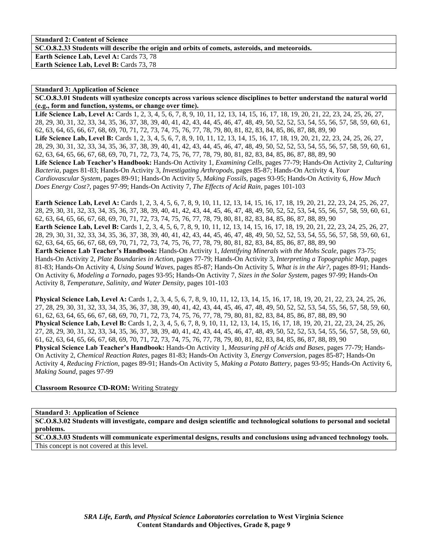**SC.O.8.2.33 Students will describe the origin and orbits of comets, asteroids, and meteoroids.** 

Earth Science Lab, Level A: Cards 73, 78 **Earth Science Lab, Level B: Cards 73, 78** 

#### **Standard 3: Application of Science**

**SC.O.8.3.01 Students will synthesize concepts across various science disciplines to better understand the natural world (e.g., form and function, systems, or change over time).** 

Life Science Lab, Level A: Cards 1, 2, 3, 4, 5, 6, 7, 8, 9, 10, 11, 12, 13, 14, 15, 16, 17, 18, 19, 20, 21, 22, 23, 24, 25, 26, 27, 28, 29, 30, 31, 32, 33, 34, 35, 36, 37, 38, 39, 40, 41, 42, 43, 44, 45, 46, 47, 48, 49, 50, 52, 52, 53, 54, 55, 56, 57, 58, 59, 60, 61, 62, 63, 64, 65, 66, 67, 68, 69, 70, 71, 72, 73, 74, 75, 76, 77, 78, 79, 80, 81, 82, 83, 84, 85, 86, 87, 88, 89, 90 Life Science Lab, Level B: Cards 1, 2, 3, 4, 5, 6, 7, 8, 9, 10, 11, 12, 13, 14, 15, 16, 17, 18, 19, 20, 21, 22, 23, 24, 25, 26, 27, 28, 29, 30, 31, 32, 33, 34, 35, 36, 37, 38, 39, 40, 41, 42, 43, 44, 45, 46, 47, 48, 49, 50, 52, 52, 53, 54, 55, 56, 57, 58, 59, 60, 61, 62, 63, 64, 65, 66, 67, 68, 69, 70, 71, 72, 73, 74, 75, 76, 77, 78, 79, 80, 81, 82, 83, 84, 85, 86, 87, 88, 89, 90 **Life Science Lab Teacher's Handbook:** Hands-On Activity 1, *Examining Cells,* pages 77-79; Hands-On Activity 2, *Culturing Bacteria,* pages 81-83; Hands-On Activity 3, *Investigating Arthropods,* pages 85-87; Hands-On Activity 4, *Your Cardiovascular System,* pages 89-91; Hands-On Activity 5, *Making Fossils,* pages 93-95; Hands-On Activity 6, *How Much Does Energy Cost?,* pages 97-99; Hands-On Activity 7, *The Effects of Acid Rain,* pages 101-103

**Earth Science Lab, Level A:** Cards 1, 2, 3, 4, 5, 6, 7, 8, 9, 10, 11, 12, 13, 14, 15, 16, 17, 18, 19, 20, 21, 22, 23, 24, 25, 26, 27, 28, 29, 30, 31, 32, 33, 34, 35, 36, 37, 38, 39, 40, 41, 42, 43, 44, 45, 46, 47, 48, 49, 50, 52, 52, 53, 54, 55, 56, 57, 58, 59, 60, 61, 62, 63, 64, 65, 66, 67, 68, 69, 70, 71, 72, 73, 74, 75, 76, 77, 78, 79, 80, 81, 82, 83, 84, 85, 86, 87, 88, 89, 90 **Earth Science Lab, Level B:** Cards 1, 2, 3, 4, 5, 6, 7, 8, 9, 10, 11, 12, 13, 14, 15, 16, 17, 18, 19, 20, 21, 22, 23, 24, 25, 26, 27, 28, 29, 30, 31, 32, 33, 34, 35, 36, 37, 38, 39, 40, 41, 42, 43, 44, 45, 46, 47, 48, 49, 50, 52, 52, 53, 54, 55, 56, 57, 58, 59, 60, 61, 62, 63, 64, 65, 66, 67, 68, 69, 70, 71, 72, 73, 74, 75, 76, 77, 78, 79, 80, 81, 82, 83, 84, 85, 86, 87, 88, 89, 90 **Earth Science Lab Teacher's Handbook:** Hands-On Activity 1, *Identifying Minerals with the Mohs Scale,* pages 73-75; Hands-On Activity 2, *Plate Boundaries in Action,* pages 77-79; Hands-On Activity 3, *Interpreting a Topographic Map,* pages 81-83; Hands-On Activity 4, *Using Sound Waves,* pages 85-87; Hands-On Activity 5, *What is in the Air?,* pages 89-91; Hands-

On Activity 6, *Modeling a Tornado,* pages 93-95; Hands-On Activity 7, *Sizes in the Solar System,* pages 97-99; Hands-On Activity 8, *Temperature, Salinity, and Water Density,* pages 101-103

**Physical Science Lab, Level A:** Cards 1, 2, 3, 4, 5, 6, 7, 8, 9, 10, 11, 12, 13, 14, 15, 16, 17, 18, 19, 20, 21, 22, 23, 24, 25, 26, 27, 28, 29, 30, 31, 32, 33, 34, 35, 36, 37, 38, 39, 40, 41, 42, 43, 44, 45, 46, 47, 48, 49, 50, 52, 52, 53, 54, 55, 56, 57, 58, 59, 60, 61, 62, 63, 64, 65, 66, 67, 68, 69, 70, 71, 72, 73, 74, 75, 76, 77, 78, 79, 80, 81, 82, 83, 84, 85, 86, 87, 88, 89, 90 **Physical Science Lab, Level B:** Cards 1, 2, 3, 4, 5, 6, 7, 8, 9, 10, 11, 12, 13, 14, 15, 16, 17, 18, 19, 20, 21, 22, 23, 24, 25, 26, 27, 28, 29, 30, 31, 32, 33, 34, 35, 36, 37, 38, 39, 40, 41, 42, 43, 44, 45, 46, 47, 48, 49, 50, 52, 52, 53, 54, 55, 56, 57, 58, 59, 60, 61, 62, 63, 64, 65, 66, 67, 68, 69, 70, 71, 72, 73, 74, 75, 76, 77, 78, 79, 80, 81, 82, 83, 84, 85, 86, 87, 88, 89, 90 **Physical Science Lab Teacher's Handbook:** Hands-On Activity 1, *Measuring pH of Acids and Bases,* pages 77-79; Hands-On Activity 2, *Chemical Reaction Rates,* pages 81-83; Hands-On Activity 3, *Energy Conversion,* pages 85-87; Hands-On Activity 4, *Reducing Friction,* pages 89-91; Hands-On Activity 5, *Making a Potato Battery,* pages 93-95; Hands-On Activity 6, *Making Sound,* pages 97-99

**Classroom Resource CD-ROM:** Writing Strategy

## **Standard 3: Application of Science**

**SC.O.8.3.02 Students will investigate, compare and design scientific and technological solutions to personal and societal problems.** 

**SC.O.8.3.03 Students will communicate experimental designs, results and conclusions using advanced technology tools.**  This concept is not covered at this level.